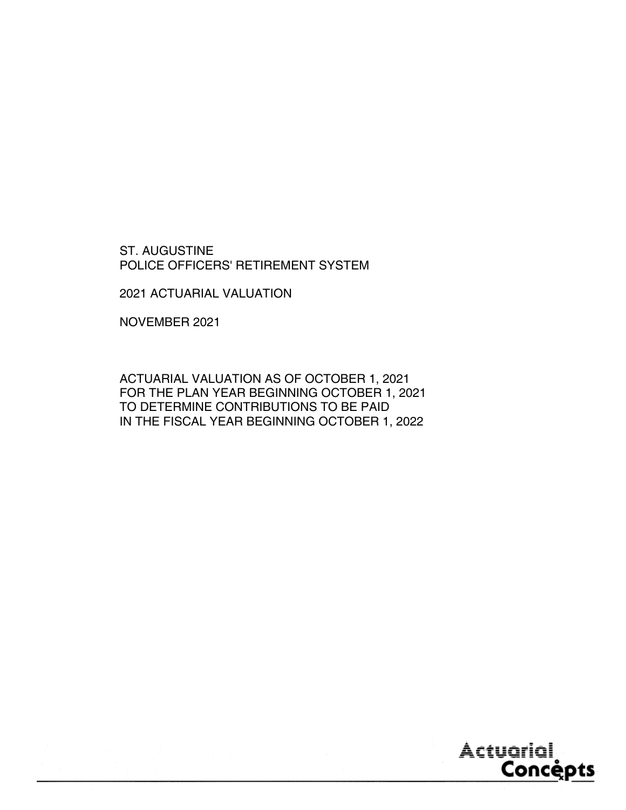ST. AUGUSTINE POLICE OFFICERS' RETIREMENT SYSTEM

2021 ACTUARIAL VALUATION

NOVEMBER 2021

ACTUARIAL VALUATION AS OF OCTOBER 1, 2021 FOR THE PLAN YEAR BEGINNING OCTOBER 1, 2021 TO DETERMINE CONTRIBUTIONS TO BE PAID IN THE FISCAL YEAR BEGINNING OCTOBER 1, 2022

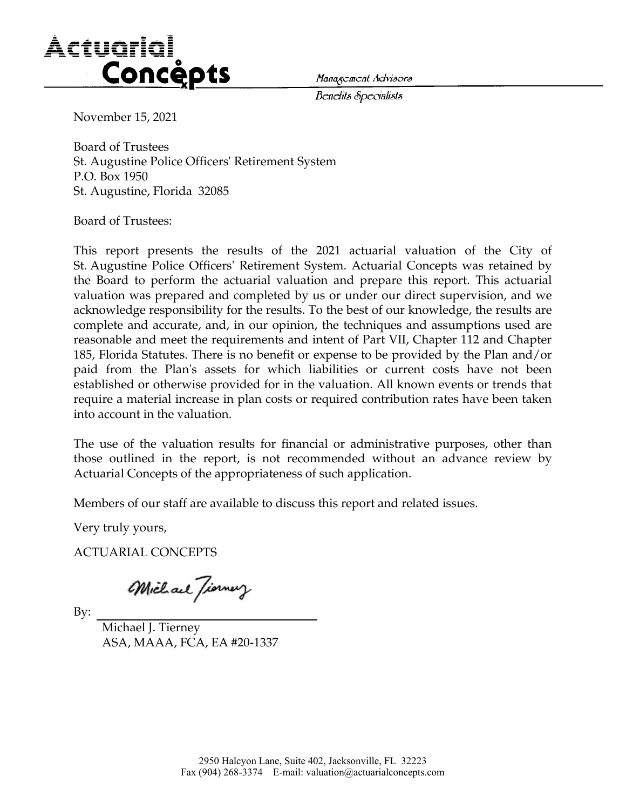

*/Jcndils cBpccialisls* 

November 15, 2021

Board of Trustees St. Augustine Police Officers' Retirement System P.O. Box 1950 St. Augustine, Florida 32085

Board of Trustees:

This report presents the results of the 2021 actuarial valuation of the City of St. Augustine Police Officers' Retirement System. Actuarial Concepts was retained by the Board to perform the actuarial valuation and prepare this report. This actuarial valuation was prepared and completed by us or under our direct supervision, and we acknowledge responsibility for the results. To the best of our knowledge, the results are complete and accurate, and, in our opinion, the techniques and assumptions used are reasonable and meet the requirements and intent of Part VII, Chapter 112 and Chapter 185, Florida Statutes. There is no benefit or expense to be provided by the Plan and/or paid from the Plan's assets for which liabilities or current costs have not been established or otherwise provided for in the valuation. All known events or trends that require a material increase in plan costs or required contribution rates have been taken into account in the valuation.

The use of the valuation results for financial or administrative purposes, other than those outlined in the report, is not recommended without an advance review by Actuarial Concepts of the appropriateness of such application.

Members of our staff are available to discuss this report and related issues.

Very truly yours,

ACTUARIAL CONCEPTS

Michael Tiorney

By:

Michael J. Tierney ASA, MAAA, FCA, EA #20-1337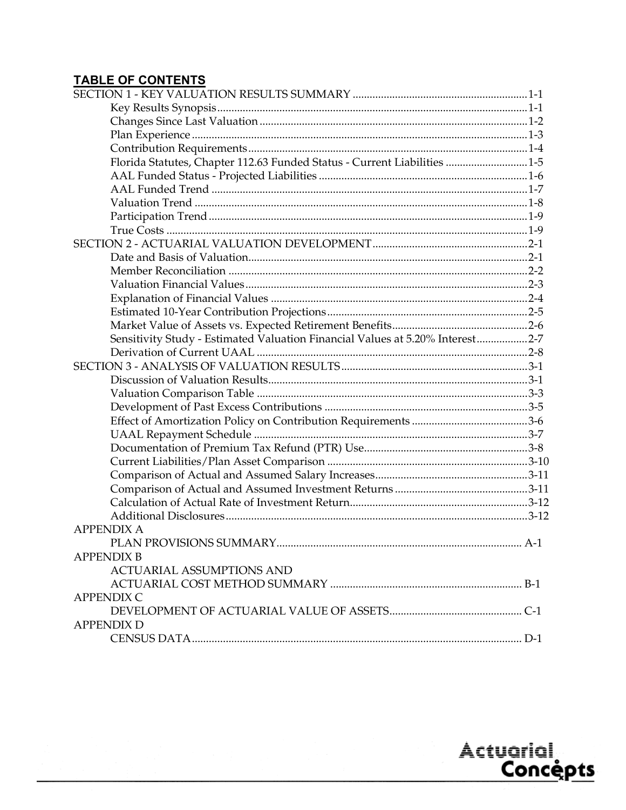# **TABLE OF CONTENTS**

| Florida Statutes, Chapter 112.63 Funded Status - Current Liabilities 1-5      |       |
|-------------------------------------------------------------------------------|-------|
|                                                                               |       |
|                                                                               |       |
|                                                                               |       |
|                                                                               |       |
|                                                                               |       |
|                                                                               |       |
|                                                                               |       |
|                                                                               |       |
|                                                                               |       |
|                                                                               |       |
|                                                                               |       |
|                                                                               |       |
| Sensitivity Study - Estimated Valuation Financial Values at 5.20% Interest2-7 |       |
|                                                                               |       |
|                                                                               |       |
|                                                                               |       |
|                                                                               |       |
|                                                                               |       |
|                                                                               |       |
|                                                                               |       |
|                                                                               |       |
|                                                                               |       |
|                                                                               |       |
|                                                                               |       |
|                                                                               |       |
|                                                                               |       |
| <b>APPENDIX A</b>                                                             |       |
| PLAN PROVISIONS SUMMARY.                                                      | $A-1$ |
| <b>APPENDIX B</b>                                                             |       |
| <b>ACTUARIAL ASSUMPTIONS AND</b>                                              |       |
|                                                                               |       |
| <b>APPENDIX C</b>                                                             |       |
|                                                                               |       |
| <b>APPENDIX D</b>                                                             |       |
|                                                                               |       |

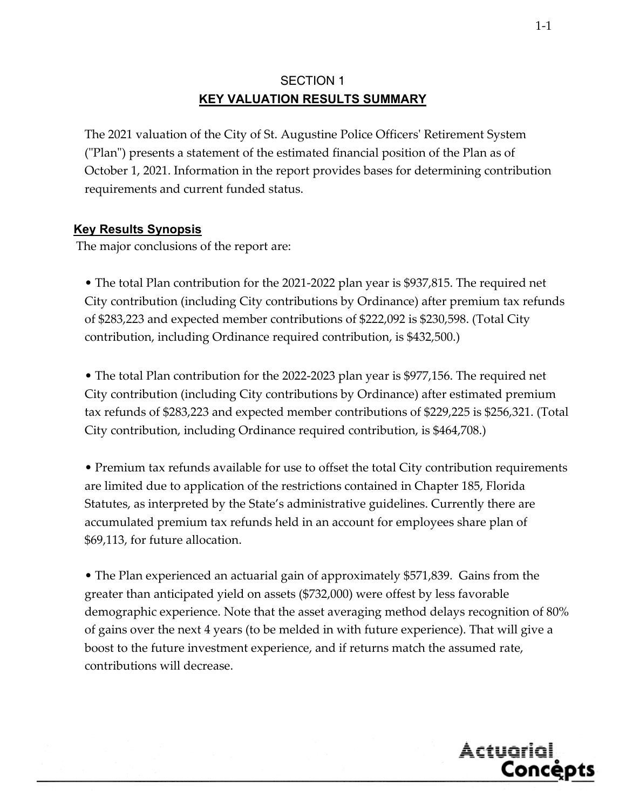# SECTION 1 **KEY VALUATION RESULTS SUMMARY**

The 2021 valuation of the City of St. Augustine Police Officersʹ Retirement System (ʺPlanʺ) presents a statement of the estimated financial position of the Plan as of October 1, 2021. Information in the report provides bases for determining contribution requirements and current funded status.

#### **Key Results Synopsis**

The major conclusions of the report are:

• The total Plan contribution for the 2021-2022 plan year is \$937,815. The required net City contribution (including City contributions by Ordinance) after premium tax refunds of \$283,223 and expected member contributions of \$222,092 is \$230,598. (Total City contribution, including Ordinance required contribution, is \$432,500.)

• The total Plan contribution for the 2022-2023 plan year is \$977,156. The required net City contribution (including City contributions by Ordinance) after estimated premium tax refunds of \$283,223 and expected member contributions of \$229,225 is \$256,321. (Total City contribution, including Ordinance required contribution, is \$464,708.)

• Premium tax refunds available for use to offset the total City contribution requirements are limited due to application of the restrictions contained in Chapter 185, Florida Statutes, as interpreted by the State's administrative guidelines. Currently there are accumulated premium tax refunds held in an account for employees share plan of \$69,113, for future allocation.

• The Plan experienced an actuarial gain of approximately \$571,839. Gains from the greater than anticipated yield on assets (\$732,000) were offest by less favorable demographic experience. Note that the asset averaging method delays recognition of 80% of gains over the next 4 years (to be melded in with future experience). That will give a boost to the future investment experience, and if returns match the assumed rate, contributions will decrease.

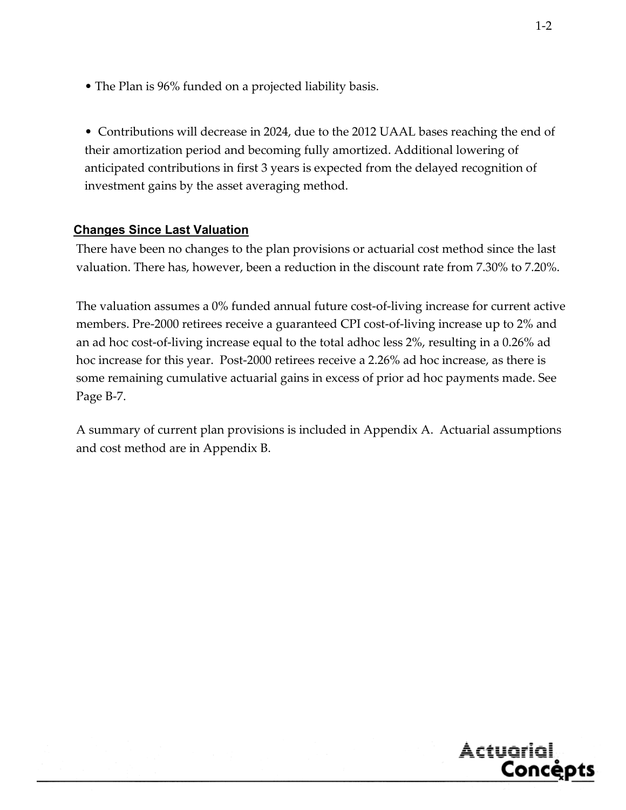• The Plan is 96% funded on a projected liability basis.

• Contributions will decrease in 2024, due to the 2012 UAAL bases reaching the end of their amortization period and becoming fully amortized. Additional lowering of anticipated contributions in first 3 years is expected from the delayed recognition of investment gains by the asset averaging method.

#### **Changes Since Last Valuation**

There have been no changes to the plan provisions or actuarial cost method since the last valuation. There has, however, been a reduction in the discount rate from 7.30% to 7.20%.

The valuation assumes a 0% funded annual future cost‐of‐living increase for current active members. Pre-2000 retirees receive a guaranteed CPI cost-of-living increase up to 2% and an ad hoc cost‐of‐living increase equal to the total adhoc less 2%, resulting in a 0.26% ad hoc increase for this year. Post-2000 retirees receive a 2.26% ad hoc increase, as there is some remaining cumulative actuarial gains in excess of prior ad hoc payments made. See Page B‐7.

A summary of current plan provisions is included in Appendix A. Actuarial assumptions and cost method are in Appendix B.

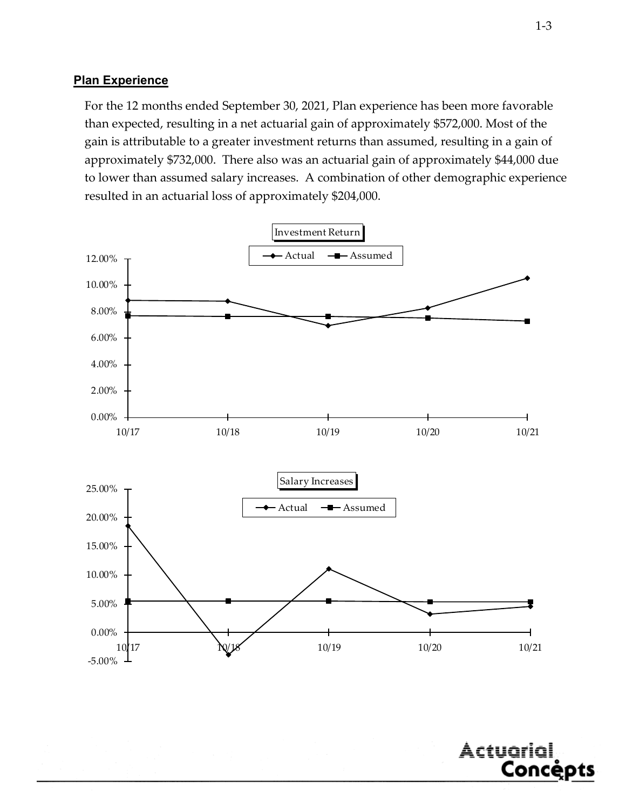#### **Plan Experience**

For the 12 months ended September 30, 2021, Plan experience has been more favorable than expected, resulting in a net actuarial gain of approximately \$572,000. Most of the gain is attributable to a greater investment returns than assumed, resulting in a gain of approximately \$732,000. There also was an actuarial gain of approximately \$44,000 due to lower than assumed salary increases. A combination of other demographic experience resulted in an actuarial loss of approximately \$204,000.





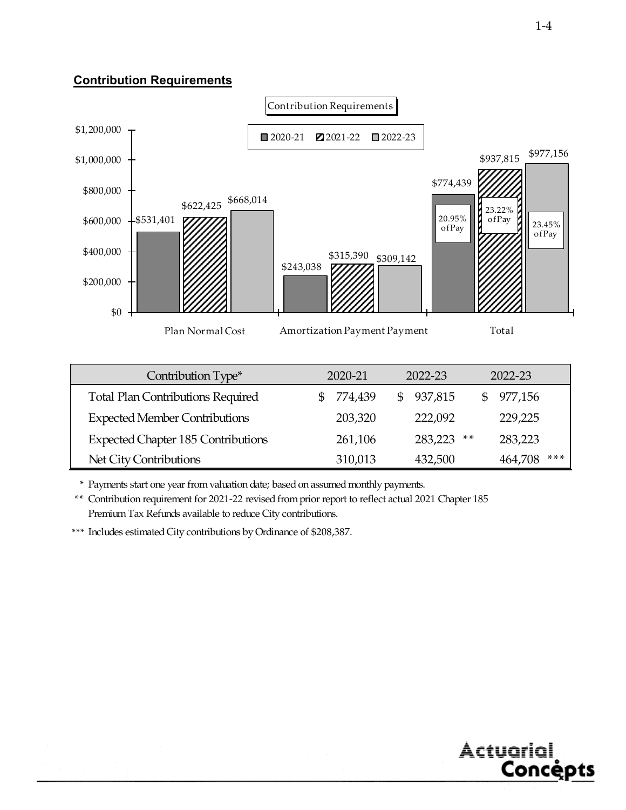#### **Contribution Requirements**



Net City Contributions 310,013 432,500 464,708 \*\*\*

\* Payments start one year from valuation date; based on assumed monthly payments.

\*\* Contribution requirement for 2021-22 revised from prior report to reflect actual 2021 Chapter 185 Premium Tax Refunds available to reduce City contributions.

\*\*\* Includes estimated City contributions by Ordinance of \$208,387.

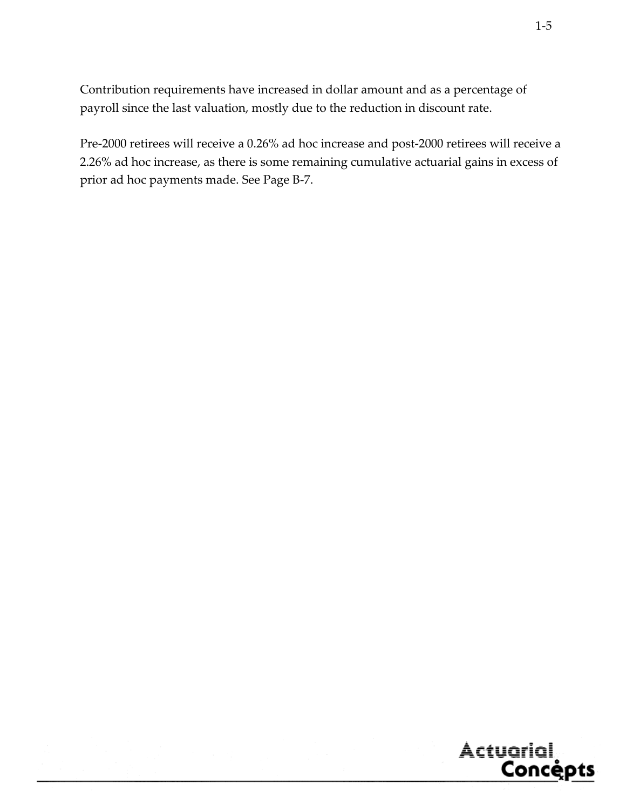Contribution requirements have increased in dollar amount and as a percentage of payroll since the last valuation, mostly due to the reduction in discount rate.

Pre‐2000 retirees will receive a 0.26% ad hoc increase and post‐2000 retirees will receive a 2.26% ad hoc increase, as there is some remaining cumulative actuarial gains in excess of prior ad hoc payments made. See Page B‐7.

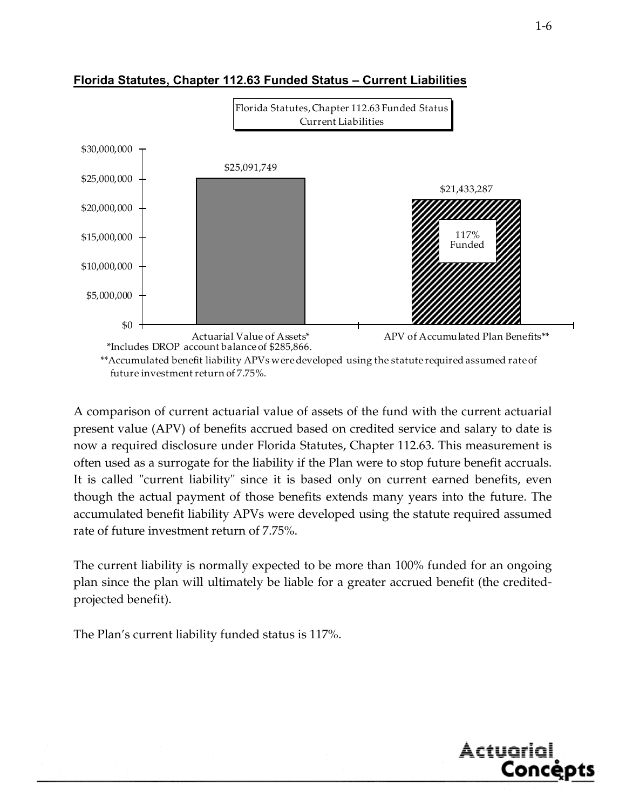

#### **Florida Statutes, Chapter 112.63 Funded Status – Current Liabilities**

A comparison of current actuarial value of assets of the fund with the current actuarial present value (APV) of benefits accrued based on credited service and salary to date is now a required disclosure under Florida Statutes, Chapter 112.63. This measurement is often used as a surrogate for the liability if the Plan were to stop future benefit accruals. It is called "current liability" since it is based only on current earned benefits, even though the actual payment of those benefits extends many years into the future. The accumulated benefit liability APVs were developed using the statute required assumed rate of future investment return of 7.75%.

The current liability is normally expected to be more than 100% funded for an ongoing plan since the plan will ultimately be liable for a greater accrued benefit (the creditedprojected benefit).

The Plan's current liability funded status is 117%.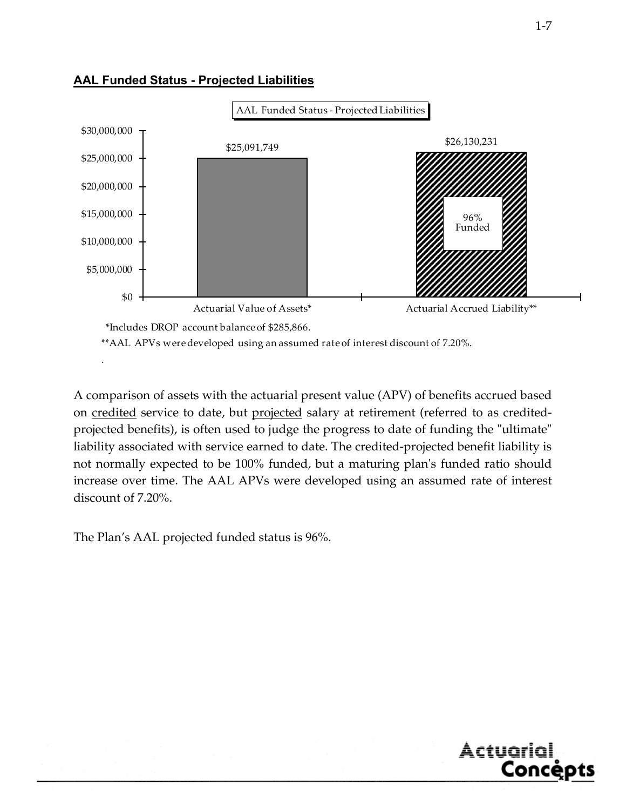

#### **AAL Funded Status - Projected Liabilities**

A comparison of assets with the actuarial present value (APV) of benefits accrued based on credited service to date, but projected salary at retirement (referred to as creditedprojected benefits), is often used to judge the progress to date of funding the "ultimate" liability associated with service earned to date. The credited-projected benefit liability is not normally expected to be 100% funded, but a maturing plan's funded ratio should increase over time. The AAL APVs were developed using an assumed rate of interest discount of 7.20%.

The Plan's AAL projected funded status is 96%.

.

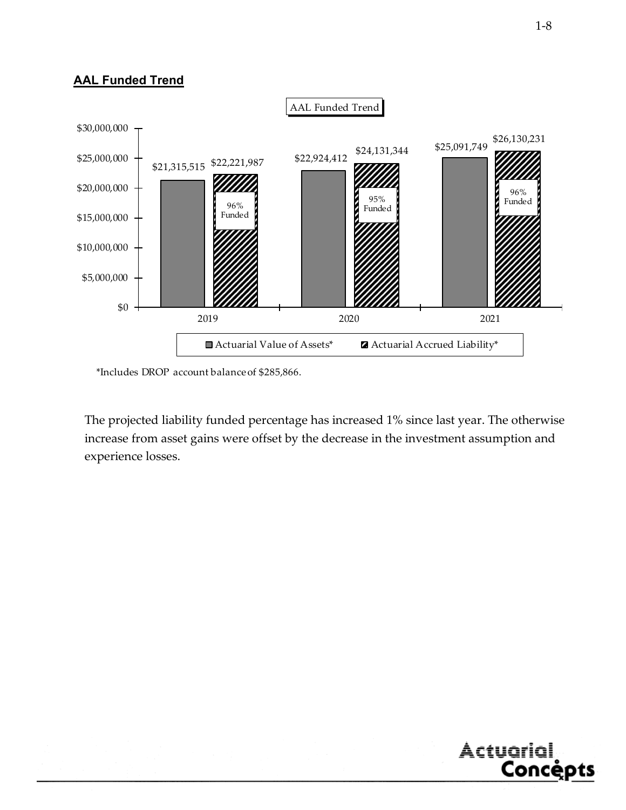#### **AAL Funded Trend**



\*Includes DROP account balance of \$285,866.

The projected liability funded percentage has increased 1% since last year. The otherwise increase from asset gains were offset by the decrease in the investment assumption and experience losses.



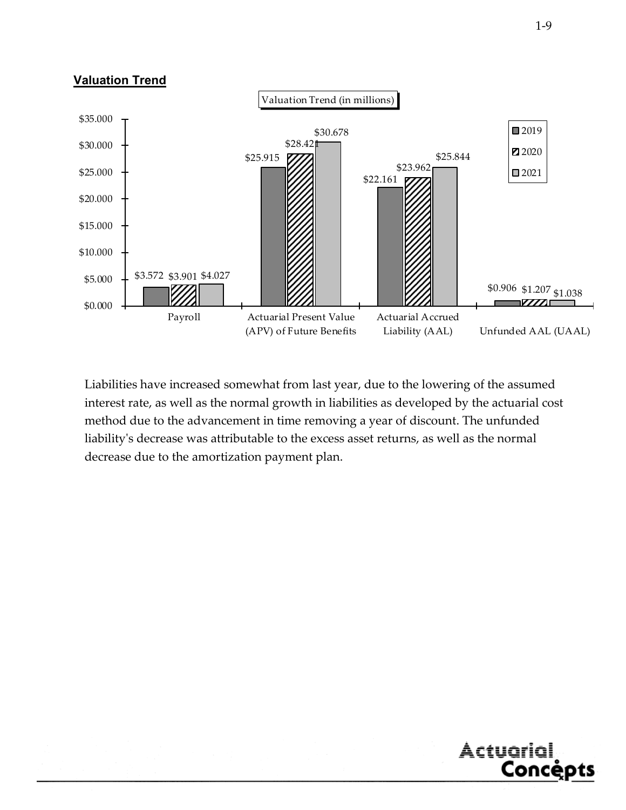#### **Valuation Trend**



Liabilities have increased somewhat from last year, due to the lowering of the assumed interest rate, as well as the normal growth in liabilities as developed by the actuarial cost method due to the advancement in time removing a year of discount. The unfunded liabilityʹs decrease was attributable to the excess asset returns, as well as the normal decrease due to the amortization payment plan.



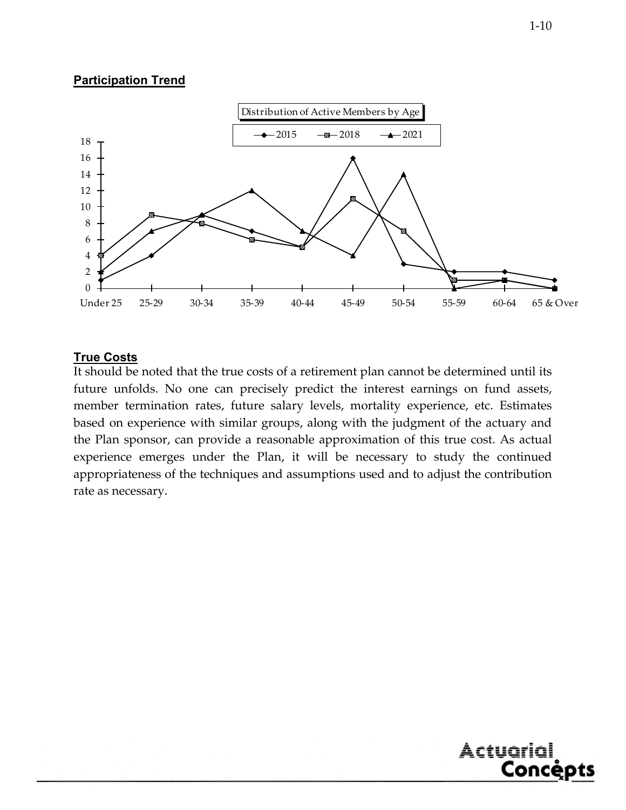#### **Participation Trend**



#### **True Costs**

It should be noted that the true costs of a retirement plan cannot be determined until its future unfolds. No one can precisely predict the interest earnings on fund assets, member termination rates, future salary levels, mortality experience, etc. Estimates based on experience with similar groups, along with the judgment of the actuary and the Plan sponsor, can provide a reasonable approximation of this true cost. As actual experience emerges under the Plan, it will be necessary to study the continued appropriateness of the techniques and assumptions used and to adjust the contribution rate as necessary.



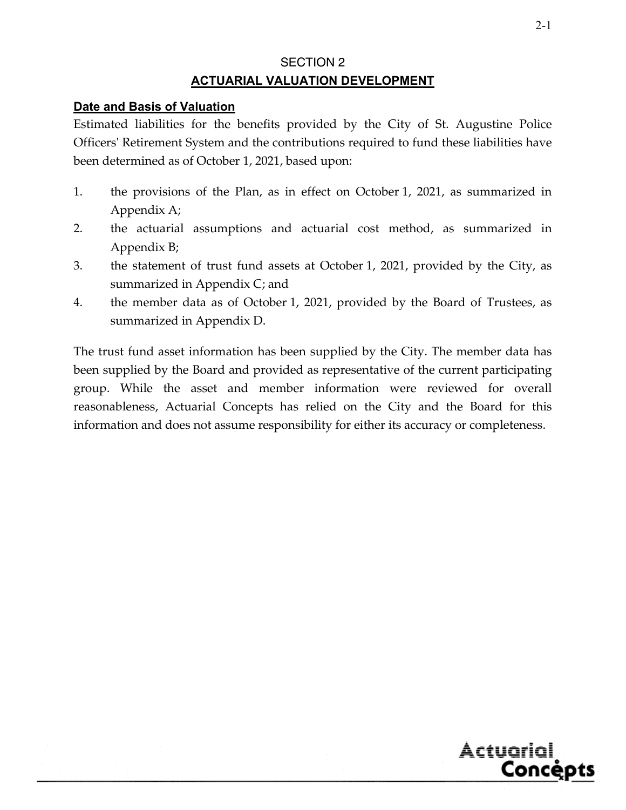# SECTION 2 **ACTUARIAL VALUATION DEVELOPMENT**

#### **Date and Basis of Valuation**

Estimated liabilities for the benefits provided by the City of St. Augustine Police Officers' Retirement System and the contributions required to fund these liabilities have been determined as of October 1, 2021, based upon:

- 1. the provisions of the Plan, as in effect on October 1, 2021, as summarized in Appendix A;
- 2. the actuarial assumptions and actuarial cost method, as summarized in Appendix B;
- 3. the statement of trust fund assets at October 1, 2021, provided by the City, as summarized in Appendix C; and
- 4. the member data as of October 1, 2021, provided by the Board of Trustees, as summarized in Appendix D.

The trust fund asset information has been supplied by the City. The member data has been supplied by the Board and provided as representative of the current participating group. While the asset and member information were reviewed for overall reasonableness, Actuarial Concepts has relied on the City and the Board for this information and does not assume responsibility for either its accuracy or completeness.

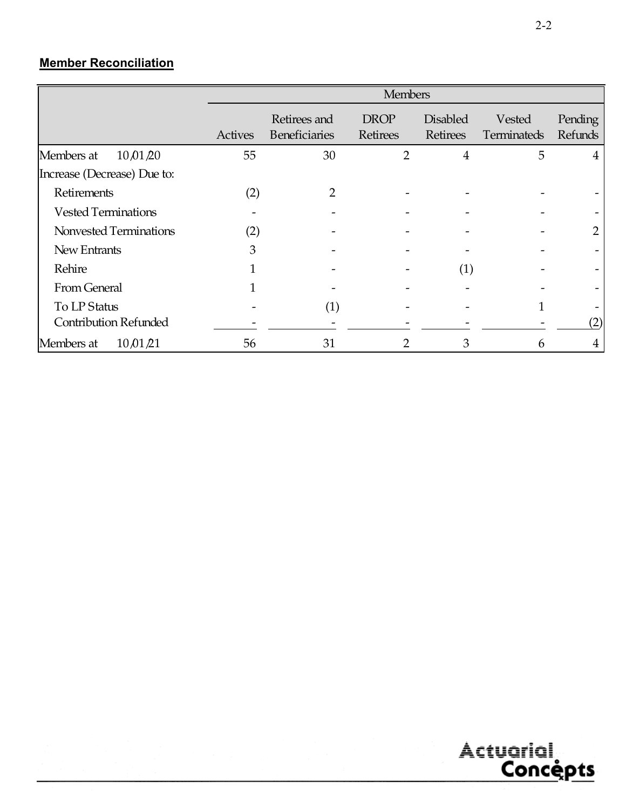# **Member Reconciliation**

|                              |         | <b>Members</b>                       |                                |                                    |                       |                    |  |  |  |
|------------------------------|---------|--------------------------------------|--------------------------------|------------------------------------|-----------------------|--------------------|--|--|--|
|                              | Actives | Retirees and<br><b>Beneficiaries</b> | <b>DROP</b><br><b>Retirees</b> | <b>Disabled</b><br><b>Retirees</b> | Vested<br>Terminateds | Pending<br>Refunds |  |  |  |
| Members at<br>10,01,20       | 55      | 30                                   | $\overline{2}$                 | $\overline{4}$                     | 5                     | 4                  |  |  |  |
| Increase (Decrease) Due to:  |         |                                      |                                |                                    |                       |                    |  |  |  |
| Retirements                  | (2)     | 2                                    |                                |                                    |                       |                    |  |  |  |
| <b>Vested Terminations</b>   |         |                                      |                                |                                    |                       |                    |  |  |  |
| Nonvested Terminations       | (2)     |                                      |                                |                                    |                       | $\overline{2}$     |  |  |  |
| New Entrants                 | 3       |                                      |                                |                                    |                       |                    |  |  |  |
| Rehire                       |         |                                      |                                | (1)                                |                       |                    |  |  |  |
| From General                 |         |                                      |                                |                                    |                       |                    |  |  |  |
| To LP Status                 |         | (1)                                  |                                |                                    |                       |                    |  |  |  |
| <b>Contribution Refunded</b> |         |                                      |                                |                                    |                       | (2)                |  |  |  |
| 10,01/21<br>Members at       | 56      | 31                                   | 2                              | 3                                  | 6                     | 4                  |  |  |  |

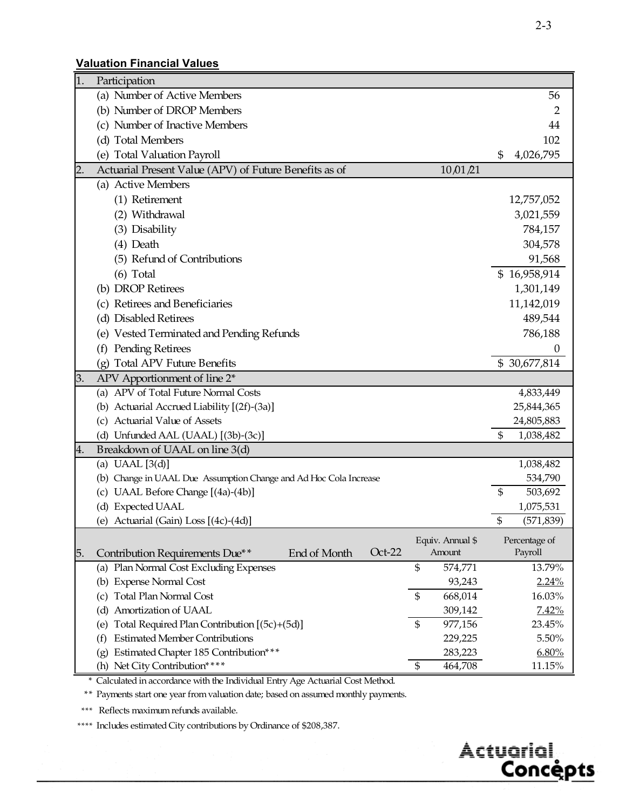#### **Valuation Financial Values**

| 1.               | Participation                                                                                    |                  |
|------------------|--------------------------------------------------------------------------------------------------|------------------|
|                  | (a) Number of Active Members                                                                     | 56               |
|                  | (b) Number of DROP Members                                                                       | 2                |
|                  | (c) Number of Inactive Members                                                                   | 44               |
|                  | (d) Total Members                                                                                | 102              |
|                  | (e) Total Valuation Payroll                                                                      | 4,026,795<br>\$  |
| $\overline{2}$ . | Actuarial Present Value (APV) of Future Benefits as of<br>10,01,21                               |                  |
|                  | (a) Active Members                                                                               |                  |
|                  | (1) Retirement                                                                                   | 12,757,052       |
|                  | (2) Withdrawal                                                                                   | 3,021,559        |
|                  | (3) Disability                                                                                   | 784,157          |
|                  | (4) Death                                                                                        | 304,578          |
|                  | (5) Refund of Contributions                                                                      | 91,568           |
|                  | $(6)$ Total                                                                                      | \$16,958,914     |
|                  | (b) DROP Retirees                                                                                | 1,301,149        |
|                  | (c) Retirees and Beneficiaries                                                                   | 11,142,019       |
|                  | (d) Disabled Retirees                                                                            | 489,544          |
|                  | (e) Vested Terminated and Pending Refunds                                                        | 786,188          |
|                  | Pending Retirees<br>(f)                                                                          | 0                |
|                  | <b>Total APV Future Benefits</b><br>(g)                                                          | \$30,677,814     |
| 3.               | APV Apportionment of line 2*                                                                     |                  |
|                  | (a) APV of Total Future Normal Costs                                                             | 4,833,449        |
|                  | (b) Actuarial Accrued Liability [(2f)-(3a)]                                                      | 25,844,365       |
|                  | (c) Actuarial Value of Assets                                                                    | 24,805,883       |
|                  | (d) Unfunded AAL (UAAL) [(3b)-(3c)]                                                              | \$<br>1,038,482  |
| 4.               | Breakdown of UAAL on line 3(d)                                                                   |                  |
|                  | (a) UAAL $[3(d)]$                                                                                | 1,038,482        |
|                  | (b) Change in UAAL Due Assumption Change and Ad Hoc Cola Increase                                | 534,790          |
|                  | (c) UAAL Before Change [(4a)-(4b)]                                                               | \$<br>503,692    |
|                  | (d) Expected UAAL                                                                                | 1,075,531        |
|                  | (e) Actuarial (Gain) Loss [(4c)-(4d)]                                                            | \$<br>(571, 839) |
|                  | Equiv. Annual \$                                                                                 | Percentage of    |
| 5.               | $Oct-22$<br>Amount<br>Contribution Requirements Due**<br>End of Month                            | Payroll          |
|                  | (a) Plan Normal Cost Excluding Expenses<br>\$<br>574,771                                         | 13.79%           |
|                  | (b) Expense Normal Cost<br>93,243                                                                | 2.24%            |
|                  | <b>Total Plan Normal Cost</b><br>\$<br>668,014<br>(c)                                            | 16.03%           |
|                  | Amortization of UAAL<br>309,142<br>(d)                                                           | 7.42%            |
|                  | Total Required Plan Contribution [(5c)+(5d)]<br>$\mathfrak{S}$<br>977,156<br>(e)                 | 23.45%           |
|                  | <b>Estimated Member Contributions</b><br>229,225<br>(f)<br>Estimated Chapter 185 Contribution*** | 5.50%            |
|                  | 283,223<br>(g)<br>(h) Net City Contribution****<br>464,708<br>\$                                 | 6.80%<br>11.15%  |
|                  |                                                                                                  |                  |

\* Calculated in accordance with the Individual Entry Age Actuarial Cost Method.

\*\* Payments start one year from valuation date; based on assumed monthly payments.

\*\*\* Reflects maximum refunds available.

\*\*\*\* Includes estimated City contributions by Ordinance of \$208,387.

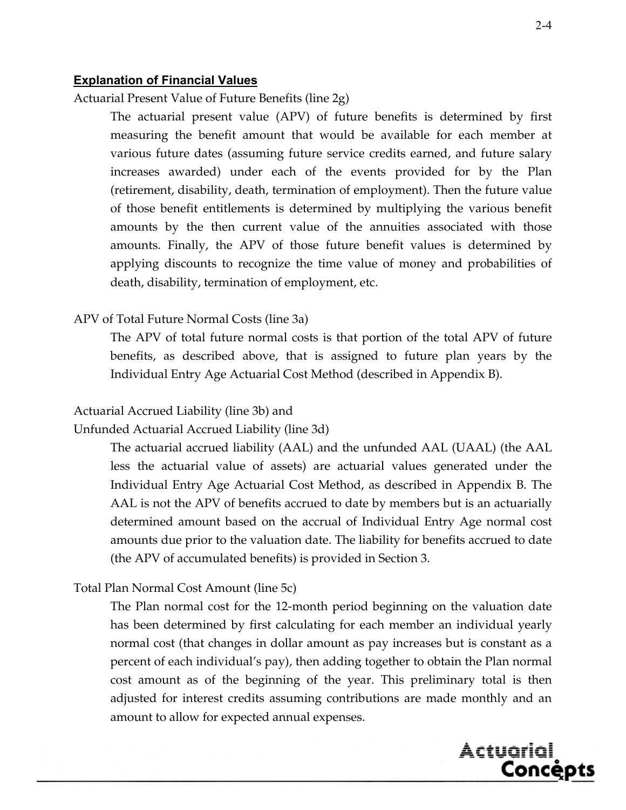#### **Explanation of Financial Values**

Actuarial Present Value of Future Benefits (line 2g)

 The actuarial present value (APV) of future benefits is determined by first measuring the benefit amount that would be available for each member at various future dates (assuming future service credits earned, and future salary increases awarded) under each of the events provided for by the Plan (retirement, disability, death, termination of employment). Then the future value of those benefit entitlements is determined by multiplying the various benefit amounts by the then current value of the annuities associated with those amounts. Finally, the APV of those future benefit values is determined by applying discounts to recognize the time value of money and probabilities of death, disability, termination of employment, etc.

#### APV of Total Future Normal Costs (line 3a)

 The APV of total future normal costs is that portion of the total APV of future benefits, as described above, that is assigned to future plan years by the Individual Entry Age Actuarial Cost Method (described in Appendix B).

#### Actuarial Accrued Liability (line 3b) and

Unfunded Actuarial Accrued Liability (line 3d)

 The actuarial accrued liability (AAL) and the unfunded AAL (UAAL) (the AAL less the actuarial value of assets) are actuarial values generated under the Individual Entry Age Actuarial Cost Method, as described in Appendix B. The AAL is not the APV of benefits accrued to date by members but is an actuarially determined amount based on the accrual of Individual Entry Age normal cost amounts due prior to the valuation date. The liability for benefits accrued to date (the APV of accumulated benefits) is provided in Section 3.

#### Total Plan Normal Cost Amount (line 5c)

 The Plan normal cost for the 12-month period beginning on the valuation date has been determined by first calculating for each member an individual yearly normal cost (that changes in dollar amount as pay increases but is constant as a percent of each individual's pay), then adding together to obtain the Plan normal cost amount as of the beginning of the year. This preliminary total is then adjusted for interest credits assuming contributions are made monthly and an amount to allow for expected annual expenses.

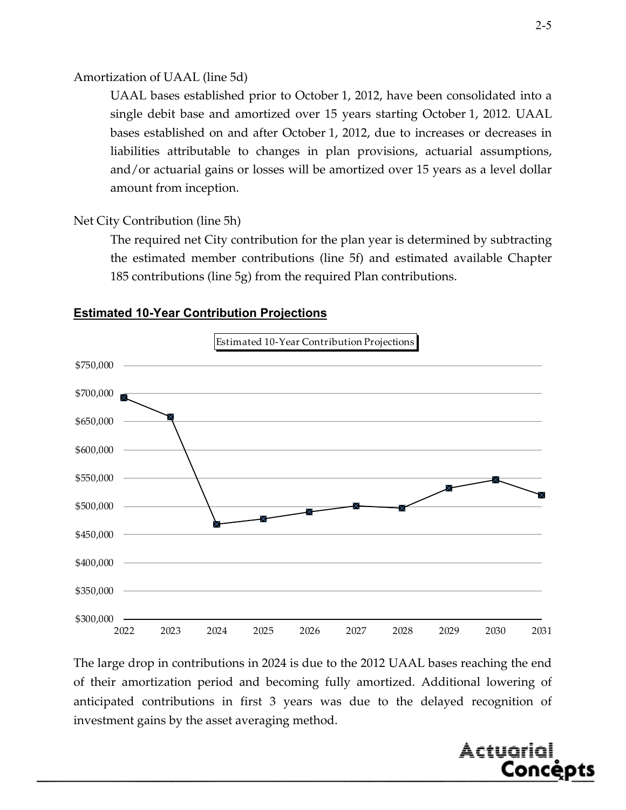#### Amortization of UAAL (line 5d)

 UAAL bases established prior to October 1, 2012, have been consolidated into a single debit base and amortized over 15 years starting October 1, 2012. UAAL bases established on and after October 1, 2012, due to increases or decreases in liabilities attributable to changes in plan provisions, actuarial assumptions, and/or actuarial gains or losses will be amortized over 15 years as a level dollar amount from inception.

#### Net City Contribution (line 5h)

 The required net City contribution for the plan year is determined by subtracting the estimated member contributions (line 5f) and estimated available Chapter 185 contributions (line 5g) from the required Plan contributions.



#### **Estimated 10-Year Contribution Projections**

The large drop in contributions in 2024 is due to the 2012 UAAL bases reaching the end of their amortization period and becoming fully amortized. Additional lowering of anticipated contributions in first 3 years was due to the delayed recognition of investment gains by the asset averaging method.

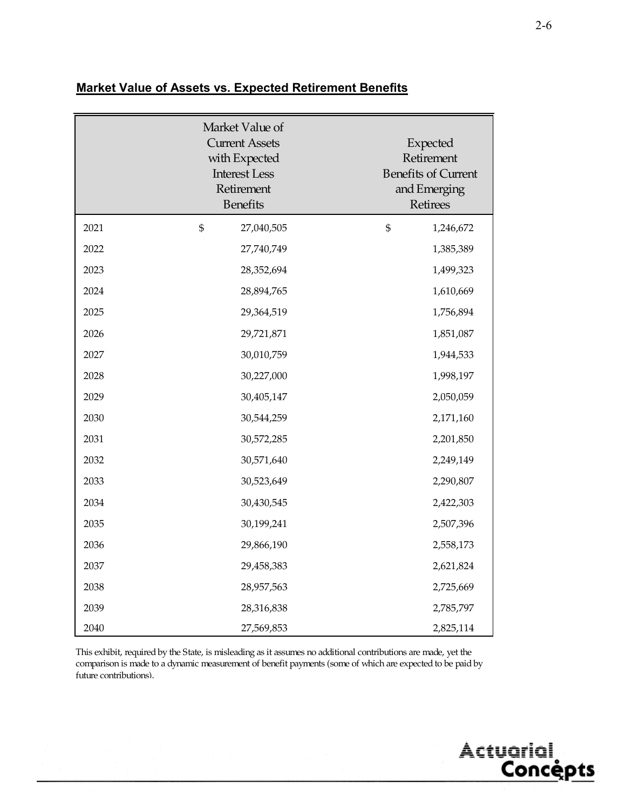|      | Market Value of<br><b>Current Assets</b><br>with Expected<br><b>Interest Less</b><br>Retirement<br><b>Benefits</b> | Expected<br>Retirement<br><b>Benefits of Current</b><br>and Emerging<br>Retirees |
|------|--------------------------------------------------------------------------------------------------------------------|----------------------------------------------------------------------------------|
| 2021 | \$<br>27,040,505                                                                                                   | \$<br>1,246,672                                                                  |
| 2022 | 27,740,749                                                                                                         | 1,385,389                                                                        |
| 2023 | 28,352,694                                                                                                         | 1,499,323                                                                        |
| 2024 | 28,894,765                                                                                                         | 1,610,669                                                                        |
| 2025 | 29,364,519                                                                                                         | 1,756,894                                                                        |
| 2026 | 29,721,871                                                                                                         | 1,851,087                                                                        |
| 2027 | 30,010,759                                                                                                         | 1,944,533                                                                        |
| 2028 | 30,227,000                                                                                                         | 1,998,197                                                                        |
| 2029 | 30,405,147                                                                                                         | 2,050,059                                                                        |
| 2030 | 30,544,259                                                                                                         | 2,171,160                                                                        |
| 2031 | 30,572,285                                                                                                         | 2,201,850                                                                        |
| 2032 | 30,571,640                                                                                                         | 2,249,149                                                                        |
| 2033 | 30,523,649                                                                                                         | 2,290,807                                                                        |
| 2034 | 30,430,545                                                                                                         | 2,422,303                                                                        |
| 2035 | 30,199,241                                                                                                         | 2,507,396                                                                        |
| 2036 | 29,866,190                                                                                                         | 2,558,173                                                                        |
| 2037 | 29,458,383                                                                                                         | 2,621,824                                                                        |
| 2038 | 28,957,563                                                                                                         | 2,725,669                                                                        |
| 2039 | 28,316,838                                                                                                         | 2,785,797                                                                        |
| 2040 | 27,569,853                                                                                                         | 2,825,114                                                                        |

#### **Market Value of Assets vs. Expected Retirement Benefits**

This exhibit, required by the State, is misleading as it assumes no additional contributions are made, yet the comparison is made to a dynamic measurement of benefit payments (some of which are expected to be paid by future contributions).

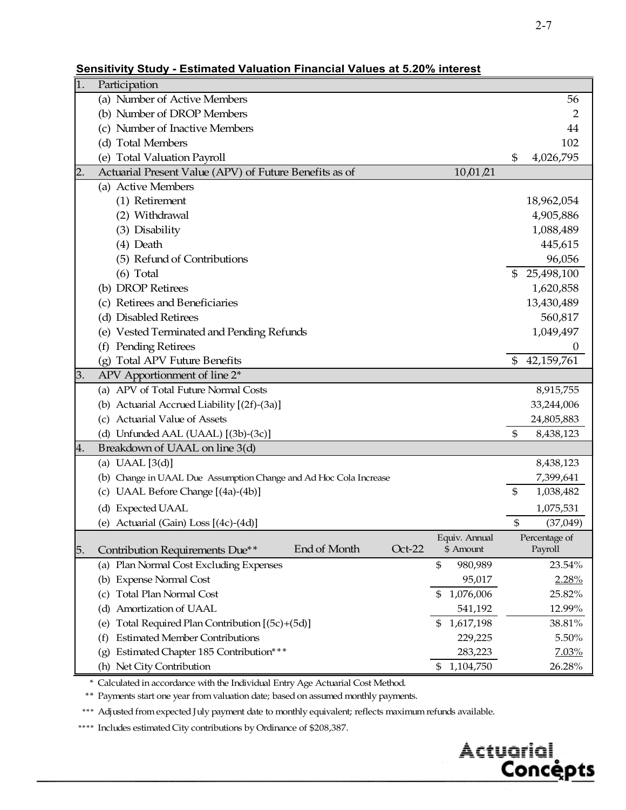#### **Sensitivity Study - Estimated Valuation Financial Values at 5.20% interest**

| 1. | Participation                                                     |                 |                              |
|----|-------------------------------------------------------------------|-----------------|------------------------------|
|    | (a) Number of Active Members                                      |                 | 56                           |
|    | (b) Number of DROP Members                                        |                 | $\overline{2}$               |
|    | (c) Number of Inactive Members                                    |                 | 44                           |
|    | (d) Total Members                                                 |                 | 102                          |
|    | (e) Total Valuation Payroll                                       |                 | 4,026,795<br>\$              |
| 2. | Actuarial Present Value (APV) of Future Benefits as of            | 10,01/21        |                              |
|    | (a) Active Members                                                |                 |                              |
|    | (1) Retirement                                                    |                 | 18,962,054                   |
|    | (2) Withdrawal                                                    |                 | 4,905,886                    |
|    | (3) Disability                                                    |                 | 1,088,489                    |
|    | $(4)$ Death                                                       |                 | 445,615                      |
|    | (5) Refund of Contributions                                       |                 | 96,056                       |
|    | $(6)$ Total                                                       |                 | 25,498,100<br>$\mathfrak{S}$ |
|    | (b) DROP Retirees                                                 |                 | 1,620,858                    |
|    | (c) Retirees and Beneficiaries                                    |                 | 13,430,489                   |
|    | (d) Disabled Retirees                                             |                 | 560,817                      |
|    | (e) Vested Terminated and Pending Refunds                         |                 | 1,049,497                    |
|    | (f) Pending Retirees                                              |                 | 0                            |
|    | <b>Total APV Future Benefits</b><br>(g)                           |                 | 42,159,761<br>$\mathfrak{S}$ |
| 3. | APV Apportionment of line 2*                                      |                 |                              |
|    | (a) APV of Total Future Normal Costs                              |                 | 8,915,755                    |
|    | (b) Actuarial Accrued Liability [(2f)-(3a)]                       |                 | 33,244,006                   |
|    | (c) Actuarial Value of Assets                                     |                 | 24,805,883                   |
|    | (d) Unfunded AAL (UAAL) [(3b)-(3c)]                               |                 | \$<br>8,438,123              |
| 4. | Breakdown of UAAL on line 3(d)                                    |                 |                              |
|    | (a) UAAL $[3(d)]$                                                 |                 | 8,438,123                    |
|    | (b) Change in UAAL Due Assumption Change and Ad Hoc Cola Increase |                 | 7,399,641                    |
|    | UAAL Before Change [(4a)-(4b)]<br>(c)                             |                 | \$<br>1,038,482              |
|    | (d) Expected UAAL                                                 |                 | 1,075,531                    |
|    | (e) Actuarial (Gain) Loss [(4c)-(4d)]                             |                 | \$<br>(37,049)               |
|    |                                                                   | Equiv. Annual   | Percentage of                |
| 5. | End of Month<br>$Oct-22$<br>Contribution Requirements Due**       | \$ Amount       | Payroll                      |
|    | (a) Plan Normal Cost Excluding Expenses                           | \$<br>980,989   | 23.54%                       |
|    | (b) Expense Normal Cost                                           | 95,017          | 2.28%                        |
|    | <b>Total Plan Normal Cost</b><br>(c)                              | 1,076,006<br>\$ | 25.82%                       |
|    | Amortization of UAAL<br>(d)                                       | 541,192         | 12.99%                       |
|    | Total Required Plan Contribution [(5c)+(5d)]<br>(e)               | 1,617,198<br>\$ | 38.81%                       |
|    | <b>Estimated Member Contributions</b><br>(f)                      | 229,225         | 5.50%                        |
|    | Estimated Chapter 185 Contribution***<br>(g)                      | 283,223         | 7.03%                        |
|    | (h) Net City Contribution                                         | 1,104,750<br>\$ | 26.28%                       |

\* Calculated in accordance with the Individual Entry Age Actuarial Cost Method.

\*\* Payments start one year from valuation date; based on assumed monthly payments.

\*\*\* Adjusted from expected July payment date to monthly equivalent; reflects maximum refunds available.

\*\*\*\* Includes estimated City contributions by Ordinance of \$208,387.

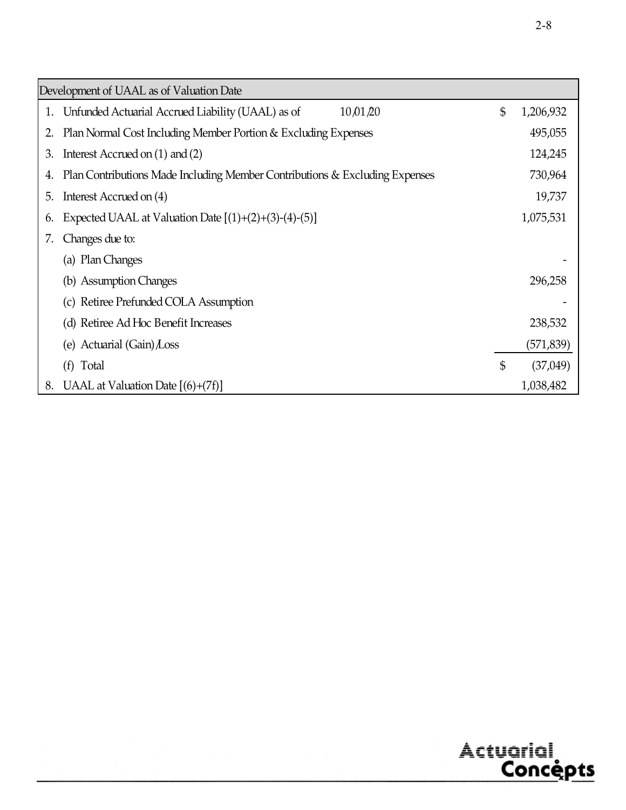|    | Development of UAAL as of Valuation Date                                    |                 |
|----|-----------------------------------------------------------------------------|-----------------|
| 1. | 10,01,20<br>Unfunded Actuarial Accrued Liability (UAAL) as of               | \$<br>1,206,932 |
| 2. | Plan Normal Cost Including Member Portion & Excluding Expenses              | 495,055         |
| 3. | Interest Accrued on $(1)$ and $(2)$                                         | 124,245         |
| 4. | Plan Contributions Made Including Member Contributions & Excluding Expenses | 730,964         |
| 5. | Interest Accrued on (4)                                                     | 19,737          |
| 6. | Expected UAAL at Valuation Date $[(1)+(2)+(3)-(4)-(5)]$                     | 1,075,531       |
| 7. | Changes due to:                                                             |                 |
|    | (a) Plan Changes                                                            |                 |
|    | (b) Assumption Changes                                                      | 296,258         |
|    | (c) Retiree Prefunded COLA Assumption                                       |                 |
|    | (d) Retiree Ad Hoc Benefit Increases                                        | 238,532         |
|    | (e) Actuarial $(Gain)$ Loss                                                 | (571, 839)      |
|    | Total<br>(f)                                                                | \$<br>(37,049)  |
| 8. | UAAL at Valuation Date $[(6)+(7f)]$                                         | 1,038,482       |

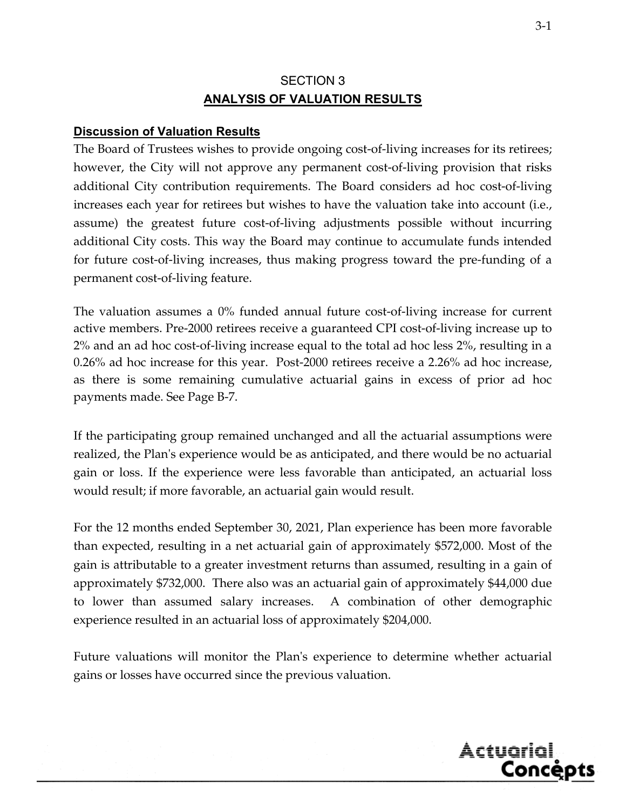# SECTION 3 **ANALYSIS OF VALUATION RESULTS**

#### **Discussion of Valuation Results**

The Board of Trustees wishes to provide ongoing cost-of-living increases for its retirees; however, the City will not approve any permanent cost-of-living provision that risks additional City contribution requirements. The Board considers ad hoc cost-of-living increases each year for retirees but wishes to have the valuation take into account (i.e., assume) the greatest future cost-of-living adjustments possible without incurring additional City costs. This way the Board may continue to accumulate funds intended for future cost-of-living increases, thus making progress toward the pre-funding of a permanent cost-of-living feature.

The valuation assumes a 0% funded annual future cost-of-living increase for current active members. Pre-2000 retirees receive a guaranteed CPI cost-of-living increase up to 2% and an ad hoc cost-of-living increase equal to the total ad hoc less 2%, resulting in a 0.26% ad hoc increase for this year. Post-2000 retirees receive a 2.26% ad hoc increase, as there is some remaining cumulative actuarial gains in excess of prior ad hoc payments made. See Page B-7.

If the participating group remained unchanged and all the actuarial assumptions were realized, the Plan's experience would be as anticipated, and there would be no actuarial gain or loss. If the experience were less favorable than anticipated, an actuarial loss would result; if more favorable, an actuarial gain would result.

For the 12 months ended September 30, 2021, Plan experience has been more favorable than expected, resulting in a net actuarial gain of approximately \$572,000. Most of the gain is attributable to a greater investment returns than assumed, resulting in a gain of approximately \$732,000. There also was an actuarial gain of approximately \$44,000 due to lower than assumed salary increases. A combination of other demographic experience resulted in an actuarial loss of approximately \$204,000.

Future valuations will monitor the Plan's experience to determine whether actuarial gains or losses have occurred since the previous valuation.

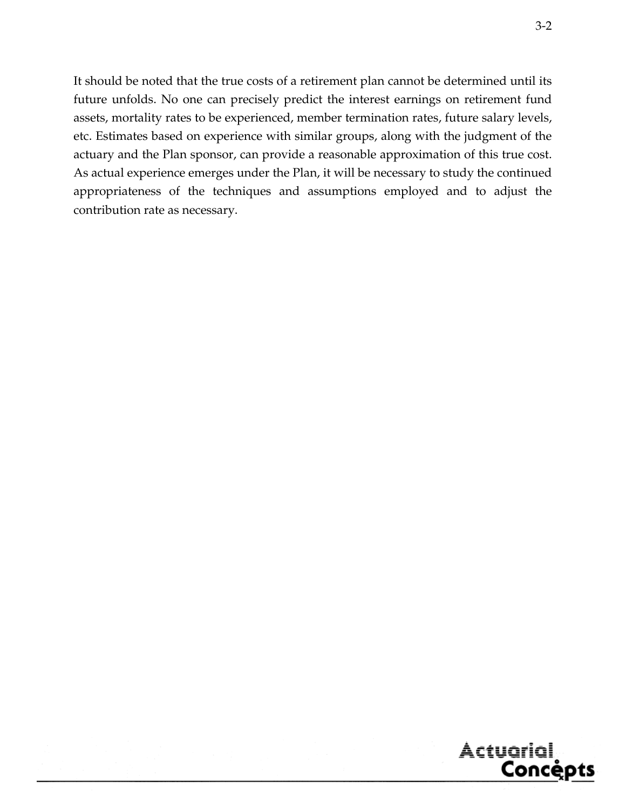It should be noted that the true costs of a retirement plan cannot be determined until its future unfolds. No one can precisely predict the interest earnings on retirement fund assets, mortality rates to be experienced, member termination rates, future salary levels, etc. Estimates based on experience with similar groups, along with the judgment of the actuary and the Plan sponsor, can provide a reasonable approximation of this true cost. As actual experience emerges under the Plan, it will be necessary to study the continued appropriateness of the techniques and assumptions employed and to adjust the contribution rate as necessary.

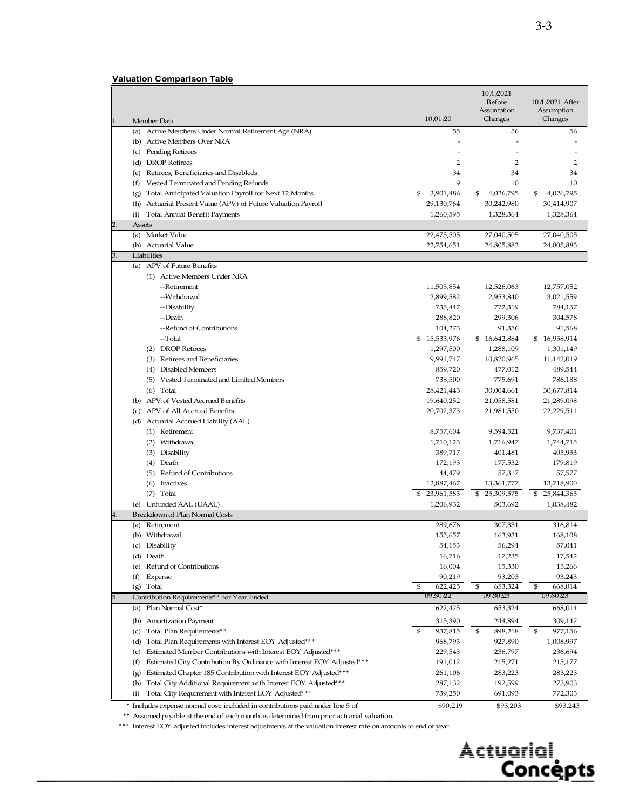|                                                                                               |                          | $10$ $\Lambda$ $/2021$<br>Before | 10 / 2021 After          |
|-----------------------------------------------------------------------------------------------|--------------------------|----------------------------------|--------------------------|
|                                                                                               |                          | Assumption                       | Assumption               |
| Member Data<br>1.                                                                             | 10/01/20                 | Changes                          | Changes                  |
| (a) Active Members Under Normal Retirement Age (NRA)                                          | 55                       | 56                               | 56                       |
| (b) Active Members Over NRA                                                                   |                          |                                  |                          |
| (c) Pending Retirees                                                                          |                          |                                  |                          |
| (d) DROP Retirees                                                                             | 2                        | 2                                | 2                        |
| Retirees, Beneficiaries and Disableds<br>(e)                                                  | 34                       | 34                               | 34                       |
| Vested Terminated and Pending Refunds<br>(f)                                                  | 9                        | 10                               | 10                       |
| Total Anticipated Valuation Payroll for Next 12 Months<br>(g)                                 | 3,901,486<br>\$          | 4,026,795<br>\$                  | 4,026,795<br>\$          |
| Actuarial Present Value (APV) of Future Valuation Payroll<br>(h)                              | 29,130,764               | 30,242,980                       | 30,414,907               |
| <b>Total Annual Benefit Payments</b><br>(i)<br>2.<br><b>Assets</b>                            | 1,260,595                | 1,328,364                        | 1,328,364                |
| Market Value<br>(a)                                                                           | 22,475,505               | 27,040,505                       | 27,040,505               |
| (b) Actuarial Value                                                                           | 22,754,651               | 24,805,883                       | 24,805,883               |
| 3.<br>Liabilities                                                                             |                          |                                  |                          |
| (a) APV of Future Benefits                                                                    |                          |                                  |                          |
| (1) Active Members Under NRA                                                                  |                          |                                  |                          |
| --Retirement                                                                                  | 11,505,854               | 12,526,063                       | 12,757,052               |
| --Withdrawal                                                                                  | 2,899,582                | 2,953,840                        | 3,021,559                |
| --Disability                                                                                  | 735,447                  | 772,319                          | 784,157                  |
| --Death                                                                                       | 288,820                  | 299,306                          | 304,578                  |
| --Refund of Contributions                                                                     | 104,273                  | 91,356                           | 91,568                   |
| --Total                                                                                       | 15,533,976               | \$16,642,884                     | \$<br>16,958,914         |
| (2) DROP Retirees                                                                             | 1,297,500                | 1,288,109                        | 1,301,149                |
| (3) Retirees and Beneficiaries                                                                | 9,991,747                | 10,820,965                       | 11,142,019               |
| Disabled Members<br>(4)                                                                       | 859,720                  | 477,012                          | 489,544                  |
| (5) Vested Terminated and Limited Members                                                     | 738,500                  | 775,691                          | 786,188                  |
| $(6)$ Total                                                                                   | 28,421,443               | 30,004,661                       | 30,677,814               |
| (b) APV of Vested Accrued Benefits<br>(c) APV of All Accrued Benefits                         | 19,640,252<br>20,702,373 | 21,058,581<br>21,981,550         | 21,289,098<br>22,229,511 |
| (d) Actuarial Accrued Liability (AAL)                                                         |                          |                                  |                          |
| (1) Retirement                                                                                | 8,757,604                | 9,594,521                        | 9,737,401                |
| (2) Withdrawal                                                                                | 1,710,123                | 1,716,947                        | 1,744,715                |
| (3) Disability                                                                                | 389,717                  | 401,481                          | 405,953                  |
| (4) Death                                                                                     | 172,193                  | 177,532                          | 179,819                  |
| (5) Refund of Contributions                                                                   | 44,479                   | 57,317                           | 57,577                   |
| (6) Inactives                                                                                 | 12,887,467               | 13,361,777                       | 13,718,900               |
| (7) Total                                                                                     | \$23,961,583             | 25,309,575<br>\$                 | \$25,844,365             |
| Unfunded AAL (UAAL)<br>(e)                                                                    | 1,206,932                | 503,692                          | 1,038,482                |
| 4.<br><b>Breakdown of Plan Normal Costs</b>                                                   |                          |                                  |                          |
| (a) Retirement                                                                                | 289,676                  | 307,331                          | 316,814                  |
| (b) Withdrawal                                                                                | 155,657                  | 163,931                          | 168,108                  |
| (c) Disability                                                                                | 54,153                   | 56,294                           | 57,041                   |
| (d) Death                                                                                     | 16,716                   | 17,235                           | 17,542                   |
| (e) Refund of Contributions                                                                   | 16,004                   | 15,330                           | 15,266                   |
| Expense<br>(f)<br>(g) Total                                                                   | 90,219<br>622,425<br>\$  | 93,203<br>653,324<br>\$          | 93,243<br>\$<br>668,014  |
| Contribution Requirements** for Year Ended<br>5.                                              | 09/30/22                 | 09 /30 /23                       | 09 / 30 / 23             |
| Plan Normal Cost*<br>(a)                                                                      | 622,425                  | 653,324                          | 668,014                  |
|                                                                                               |                          |                                  |                          |
| <b>Amortization Payment</b><br>(b)                                                            | 315,390<br>\$<br>937,815 | 244,894<br>\$<br>898,218         | 309,142<br>\$<br>977,156 |
| (c) Total Plan Requirements**<br>Total Plan Requirements with Interest EOY Adjusted***<br>(d) | 968,793                  | 927,890                          | 1,008,997                |
| Estimated Member Contributions with Interest EOY Adjusted***<br>(e)                           | 229,543                  | 236,797                          | 236,694                  |
| Estimated City Contribution By Ordinance with Interest EOY Adjusted***<br>(f)                 | 191,012                  | 215,271                          | 215,177                  |
| Estimated Chapter 185 Contribution with Interest EOY Adjusted***<br>(g)                       | 261,106                  | 283,223                          | 283,223                  |
| Total City Additional Requirement with Interest EOY Adjusted***<br>(h)                        | 287,132                  | 192,599                          | 273,903                  |
| Total City Requirement with Interest EOY Adjusted***<br>(i)                                   | 739,250                  | 691,093                          | 772,303                  |
| * Includes expense normal cost: included in contributions paid under line 5 of                | \$90,219                 | \$93,203                         | \$93,243                 |

\*\* Assumed payable at the end of each month as determined from prior actuarial valuation.

\*\*\* Interest EOY adjusted includes interest adjustments at the valuation interest rate on amounts to end of year.

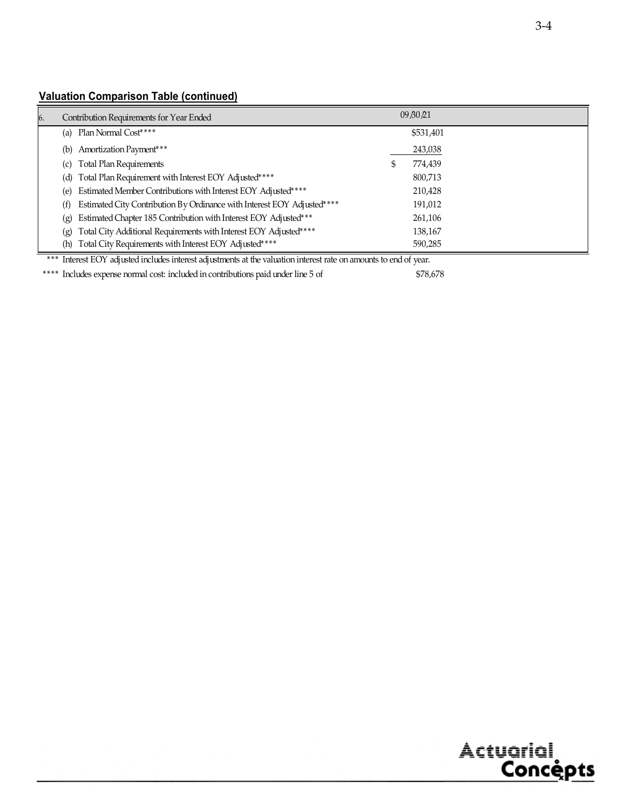#### **Valuation Comparison Table (continued)**

| 6. | Contribution Requirements for Year Ended                                       | 09/30/21     |  |
|----|--------------------------------------------------------------------------------|--------------|--|
|    | Plan Normal Cost****<br>(a)                                                    | \$531,401    |  |
|    | Amortization Payment***<br>(b)                                                 | 243,038      |  |
|    | <b>Total Plan Requirements</b><br>(c)                                          | 774,439<br>D |  |
|    | (d) Total Plan Requirement with Interest EOY Adjusted****                      | 800,713      |  |
|    | Estimated Member Contributions with Interest EOY Adjusted****<br>(e)           | 210,428      |  |
|    | Estimated City Contribution By Ordinance with Interest EOY Adjusted****<br>(f) | 191,012      |  |
|    | Estimated Chapter 185 Contribution with Interest EOY Adjusted***<br>(g)        | 261,106      |  |
|    | Total City Additional Requirements with Interest EOY Adjusted****<br>(g)       | 138,167      |  |
|    | Total City Requirements with Interest EOY Adjusted****<br>(h)                  | 590,285      |  |

\*\*\* Interest EOY adjusted includes interest adjustments at the valuation interest rate on amounts to end of year.

\*\*\*\* Includes expense normal cost: included in contributions paid under line 5 of \$78,678

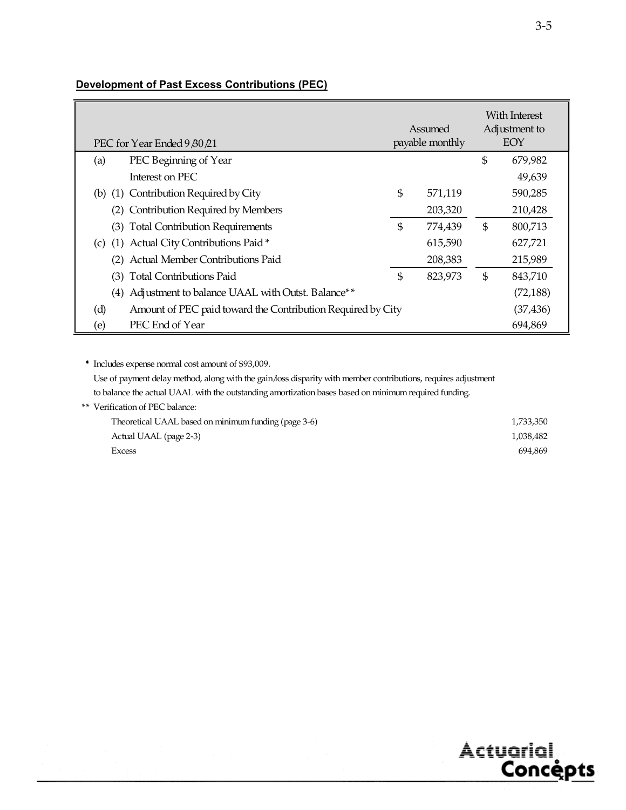| PEC for Year Ended 9 80 21                                         |                | Assumed<br>payable monthly |                | With Interest<br>Adjustment to<br>EOY |
|--------------------------------------------------------------------|----------------|----------------------------|----------------|---------------------------------------|
| PEC Beginning of Year<br>(a)                                       |                |                            | $\mathfrak{S}$ | 679,982                               |
| Interest on PEC                                                    |                |                            |                | 49,639                                |
| (b) (1) Contribution Required by City                              | \$             | 571,119                    |                | 590,285                               |
| Contribution Required by Members                                   |                | 203,320                    |                | 210,428                               |
| (3) Total Contribution Requirements                                | \$             | 774,439                    | \$             | 800,713                               |
| (c) (1) Actual City Contributions Paid*                            |                | 615,590                    |                | 627,721                               |
| <b>Actual Member Contributions Paid</b><br>(2)                     |                | 208,383                    |                | 215,989                               |
| (3) Total Contributions Paid                                       | $\mathfrak{S}$ | 823,973                    | \$             | 843,710                               |
| Adjustment to balance UAAL with Outst. Balance**<br>(4)            |                |                            |                | (72, 188)                             |
| (d)<br>Amount of PEC paid toward the Contribution Required by City |                |                            |                | (37, 436)                             |
| PEC End of Year<br>(e)                                             |                |                            |                | 694,869                               |

#### **Development of Past Excess Contributions (PEC)**

\* Includes expense normal cost amount of \$93,009.

Use of payment delay method, along with the gain/loss disparity with member contributions, requires adjustment to balance the actual UAAL with the outstanding amortization bases based on minimum required funding.

#### \*\* Verification of PEC balance:

| Theoretical UAAL based on minimum funding (page 3-6) | 1,733,350 |
|------------------------------------------------------|-----------|
| Actual UAAL (page 2-3)                               | 1,038,482 |
| Excess                                               | 694.869   |

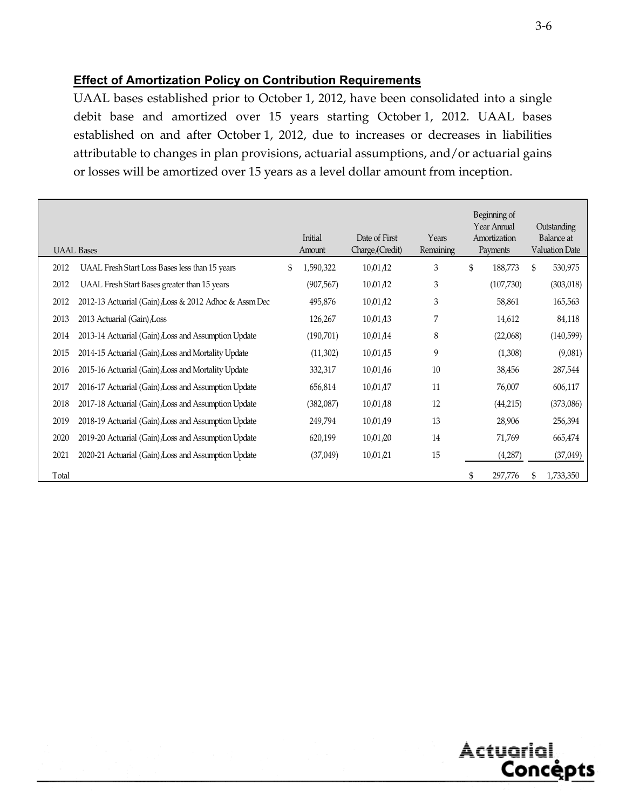#### **Effect of Amortization Policy on Contribution Requirements**

UAAL bases established prior to October 1, 2012, have been consolidated into a single debit base and amortized over 15 years starting October 1, 2012. UAAL bases established on and after October 1, 2012, due to increases or decreases in liabilities attributable to changes in plan provisions, actuarial assumptions, and/or actuarial gains or losses will be amortized over 15 years as a level dollar amount from inception.

|       | <b>UAAL Bases</b>                                     | Initial<br>Amount | Date of First<br>Charge/(Credit) | Years<br>Remaining | Beginning of<br>Year Annual<br>Amortization<br>Payments | Outstanding<br>Balance at<br><b>Valuation Date</b> |
|-------|-------------------------------------------------------|-------------------|----------------------------------|--------------------|---------------------------------------------------------|----------------------------------------------------|
| 2012  | UAAL Fresh Start Loss Bases less than 15 years        | \$<br>1,590,322   | 10/01/12                         | 3                  | \$<br>188,773                                           | \$<br>530,975                                      |
| 2012  | UAAL Fresh Start Bases greater than 15 years          | (907, 567)        | 10,01/12                         | 3                  | (107,730)                                               | (303, 018)                                         |
| 2012  | 2012-13 Actuarial (Gain) Loss & 2012 Adhoc & Assm Dec | 495,876           | 10,01/12                         | 3                  | 58,861                                                  | 165,563                                            |
| 2013  | 2013 Actuarial (Gain) Loss                            | 126,267           | 10,01/13                         | 7                  | 14,612                                                  | 84,118                                             |
| 2014  | 2013-14 Actuarial (Gain) Loss and Assumption Update   | (190, 701)        | 10,01/14                         | 8                  | (22,068)                                                | (140, 599)                                         |
| 2015  | 2014-15 Actuarial (Gain) Loss and Mortality Update    | (11,302)          | 10,01/15                         | 9                  | (1,308)                                                 | (9,081)                                            |
| 2016  | 2015-16 Actuarial (Gain) Loss and Mortality Update    | 332,317           | 10,01/16                         | 10                 | 38,456                                                  | 287,544                                            |
| 2017  | 2016-17 Actuarial (Gain) Loss and Assumption Update   | 656,814           | 10,01/17                         | 11                 | 76,007                                                  | 606,117                                            |
| 2018  | 2017-18 Actuarial (Gain) Loss and Assumption Update   | (382, 087)        | 10,01/18                         | 12                 | (44,215)                                                | (373,086)                                          |
| 2019  | 2018-19 Actuarial (Gain) Loss and Assumption Update   | 249,794           | 10/01/19                         | 13                 | 28,906                                                  | 256,394                                            |
| 2020  | 2019-20 Actuarial (Gain) Loss and Assumption Update   | 620,199           | 10,01,20                         | 14                 | 71,769                                                  | 665,474                                            |
| 2021  | 2020-21 Actuarial (Gain) Loss and Assumption Update   | (37,049)          | 10/01/21                         | 15                 | (4,287)                                                 | (37, 049)                                          |
| Total |                                                       |                   |                                  |                    | \$<br>297,776                                           | \$<br>1,733,350                                    |

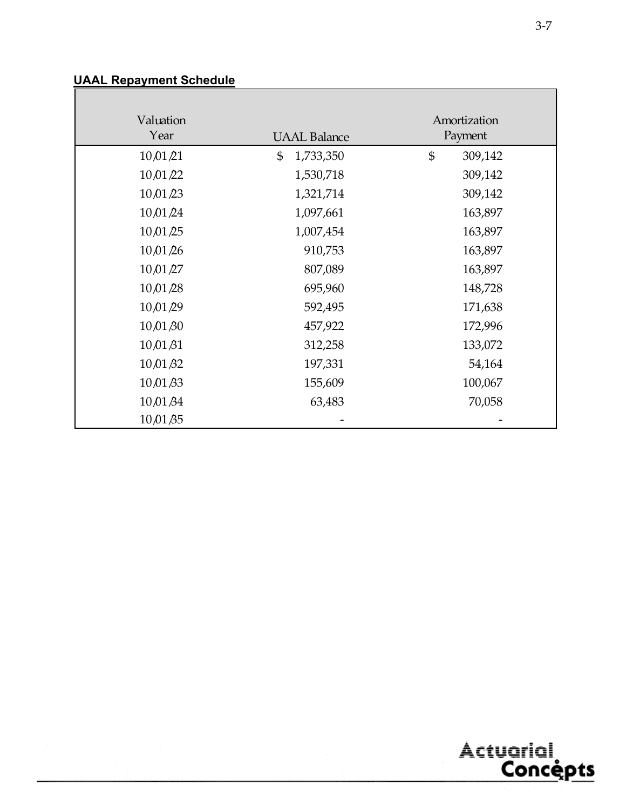# **UAAL Repayment Schedule**

| Valuation           |                     | Amortization              |
|---------------------|---------------------|---------------------------|
| Year                | <b>UAAL Balance</b> | Payment                   |
| 10/01/21            | \$<br>1,733,350     | $\mathfrak{S}$<br>309,142 |
| 10,01/22            | 1,530,718           | 309,142                   |
| 10/01/23            | 1,321,714           | 309,142                   |
| 10,01/24            | 1,097,661           | 163,897                   |
| 10,01/25            | 1,007,454           | 163,897                   |
| 10/01/26            | 910,753             | 163,897                   |
| 10,01/27            | 807,089             | 163,897                   |
| 10,01/28            | 695,960             | 148,728                   |
| 10/01/29            | 592,495             | 171,638                   |
| 10,01,80            | 457,922             | 172,996                   |
| $10\sqrt{01\beta1}$ | 312,258             | 133,072                   |
| $10\sqrt{01\beta2}$ | 197,331             | 54,164                    |
| $10\sqrt{01\beta3}$ | 155,609             | 100,067                   |
| 10/01/34            | 63,483              | 70,058                    |
| $10\sqrt{01\beta5}$ |                     |                           |



 $\overline{\phantom{0}}$ 

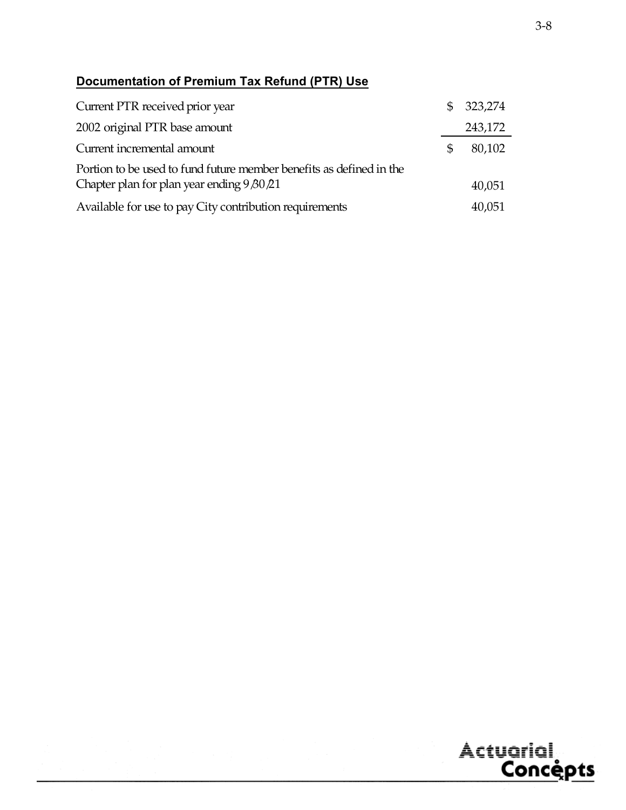# **Documentation of Premium Tax Refund (PTR) Use**

| Current PTR received prior year                                     | \$323,274    |
|---------------------------------------------------------------------|--------------|
| 2002 original PTR base amount                                       | 243,172      |
| Current incremental amount                                          | \$<br>80,102 |
| Portion to be used to fund future member benefits as defined in the |              |
| Chapter plan for plan year ending 9 80 21                           | 40,051       |
| Available for use to pay City contribution requirements             | 40,051       |

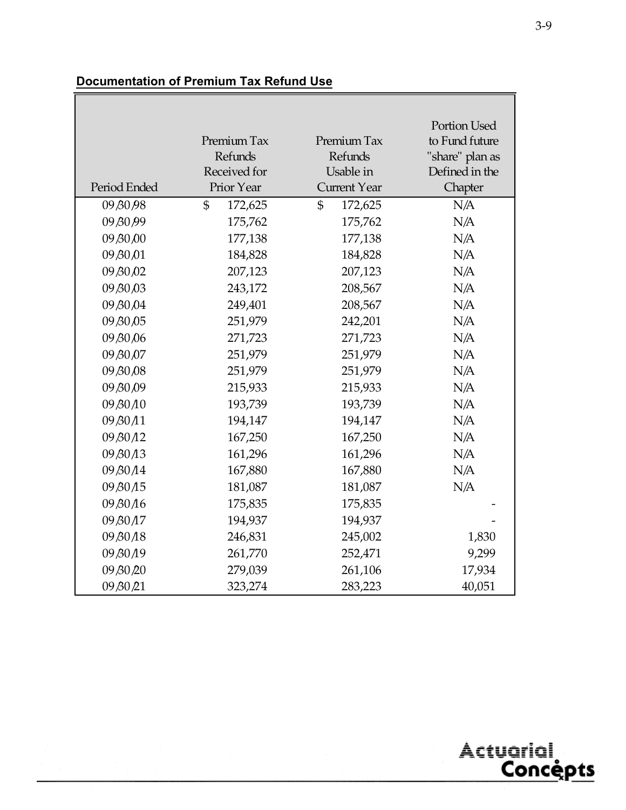# **Documentation of Premium Tax Refund Use**

|              |                           |                         | Portion Used    |
|--------------|---------------------------|-------------------------|-----------------|
|              | Premium Tax               | Premium Tax             | to Fund future  |
|              | Refunds                   | Refunds                 | "share" plan as |
|              | Received for              | Usable in               | Defined in the  |
| Period Ended | Prior Year                | <b>Current Year</b>     | Chapter         |
| 09 BO 98     | $\mathfrak{S}$<br>172,625 | $\mathbb{S}$<br>172,625 | N/A             |
| 09 BO 99     | 175,762                   | 175,762                 | N/A             |
| 09,80,00     | 177,138                   | 177,138                 | N/A             |
| 09 BO 01     | 184,828                   | 184,828                 | N/A             |
| 09 80 02     | 207,123                   | 207,123                 | N/A             |
| 09 80 03     | 243,172                   | 208,567                 | N/A             |
| 09 80 04     | 249,401                   | 208,567                 | N/A             |
| 09 80 05     | 251,979                   | 242,201                 | N/A             |
| 09 80 06     | 271,723                   | 271,723                 | N/A             |
| 09 80 07     | 251,979                   | 251,979                 | N/A             |
| 09 80 08     | 251,979                   | 251,979                 | N/A             |
| 09 80 09     | 215,933                   | 215,933                 | N/A             |
| 09 80 10     | 193,739                   | 193,739                 | N/A             |
| 09 B0 A1     | 194,147                   | 194,147                 | N/A             |
| 09/30/12     | 167,250                   | 167,250                 | N/A             |
| 09 80 13     | 161,296                   | 161,296                 | N/A             |
| 09 80 14     | 167,880                   | 167,880                 | N/A             |
| 09 80 15     | 181,087                   | 181,087                 | N/A             |
| 09 80 16     | 175,835                   | 175,835                 |                 |
| 09 B0 A7     | 194,937                   | 194,937                 |                 |
| 09 80 18     | 246,831                   | 245,002                 | 1,830           |
| 09 80 19     | 261,770                   | 252,471                 | 9,299           |
| 09 80 20     | 279,039                   | 261,106                 | 17,934          |
| 09 BO 21     | 323,274                   | 283,223                 | 40,051          |

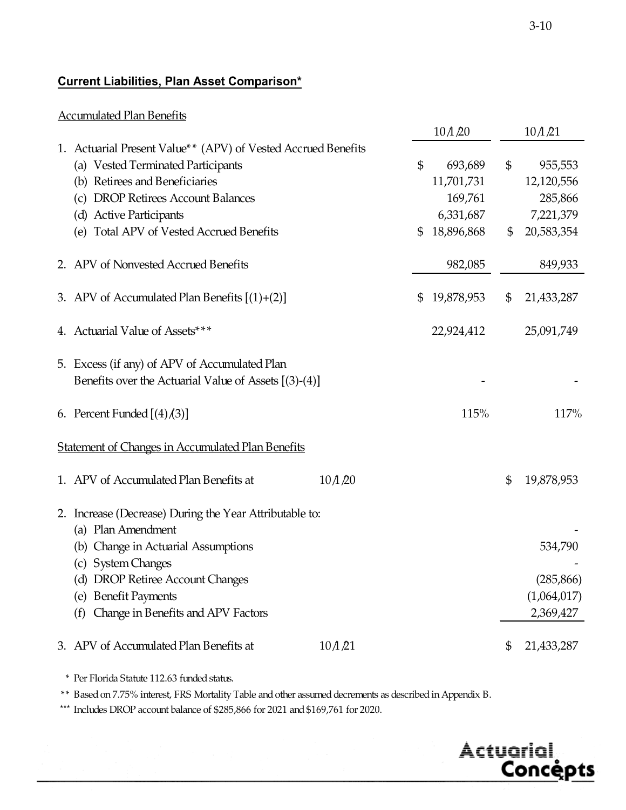# **Current Liabilities, Plan Asset Comparison\***

#### Accumulated Plan Benefits

|                                                                                                        |                   | 10/1/20          | 10/1/21          |
|--------------------------------------------------------------------------------------------------------|-------------------|------------------|------------------|
| 1. Actuarial Present Value** (APV) of Vested Accrued Benefits<br>(a) Vested Terminated Participants    |                   | \$<br>693,689    | \$<br>955,553    |
| (b) Retirees and Beneficiaries                                                                         |                   | 11,701,731       | 12,120,556       |
| (c) DROP Retirees Account Balances                                                                     |                   | 169,761          | 285,866          |
| (d) Active Participants                                                                                |                   | 6,331,687        | 7,221,379        |
| (e) Total APV of Vested Accrued Benefits                                                               |                   | \$<br>18,896,868 | \$<br>20,583,354 |
| 2. APV of Nonvested Accrued Benefits                                                                   |                   | 982,085          | 849,933          |
| 3. APV of Accumulated Plan Benefits $[(1)+(2)]$                                                        |                   | \$<br>19,878,953 | \$<br>21,433,287 |
| 4. Actuarial Value of Assets***                                                                        |                   | 22,924,412       | 25,091,749       |
| 5. Excess (if any) of APV of Accumulated Plan<br>Benefits over the Actuarial Value of Assets [(3)-(4)] |                   |                  |                  |
| 6. Percent Funded $[(4)(3)]$                                                                           |                   | 115%             | 117%             |
| <b>Statement of Changes in Accumulated Plan Benefits</b>                                               |                   |                  |                  |
| 1. APV of Accumulated Plan Benefits at                                                                 | $10 \triangle 20$ |                  | \$<br>19,878,953 |
| 2. Increase (Decrease) During the Year Attributable to:                                                |                   |                  |                  |
| (a) Plan Amendment                                                                                     |                   |                  |                  |
| (b) Change in Actuarial Assumptions                                                                    |                   |                  | 534,790          |
| (c) System Changes<br>(d) DROP Retiree Account Changes                                                 |                   |                  | (285, 866)       |
| (e) Benefit Payments                                                                                   |                   |                  | (1,064,017)      |
| (f) Change in Benefits and APV Factors                                                                 |                   |                  | 2,369,427        |
| 3. APV of Accumulated Plan Benefits at                                                                 | 10/1/21           |                  | \$<br>21,433,287 |

\* Per Florida Statute 112.63 funded status.

\*\* Based on 7.75% interest, FRS Mortality Table and other assumed decrements as described in Appendix B.

\*\*\* Includes DROP account balance of \$285,866 for 2021 and \$169,761 for 2020.

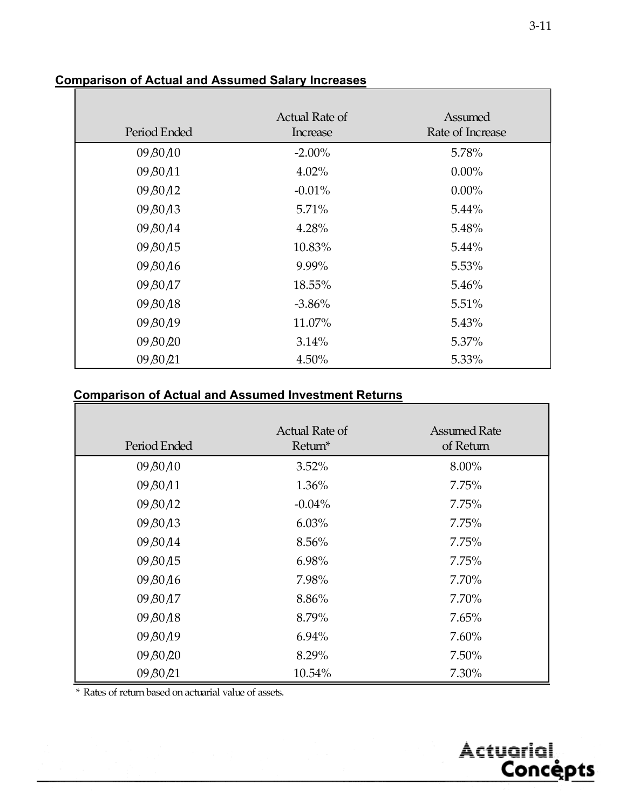|                                  | Actual Rate of | Assumed          |
|----------------------------------|----------------|------------------|
| Period Ended                     | Increase       | Rate of Increase |
| 09 80 10                         | $-2.00\%$      | 5.78%            |
| 09/30/11                         | 4.02%          | $0.00\%$         |
| 09 80 12                         | $-0.01%$       | $0.00\%$         |
| 09/30/13                         | 5.71%          | 5.44%            |
| 09/30/14                         | 4.28%          | 5.48%            |
| 09 80 15                         | 10.83%         | 5.44%            |
| 09/30/16                         | 9.99%          | 5.53%            |
| 09 B <sub>0</sub> A <sub>7</sub> | 18.55%         | 5.46%            |
| 09 80 18                         | $-3.86%$       | 5.51%            |
| 09 B <sub>0</sub> 19             | 11.07%         | 5.43%            |
| 09 80 20                         | 3.14%          | 5.37%            |
| 09 BO 21                         | 4.50%          | 5.33%            |

#### **Comparison of Actual and Assumed Salary Increases**

# **Comparison of Actual and Assumed Investment Returns**

| Period Ended | Actual Rate of<br>Return* | <b>Assumed Rate</b><br>of Return |
|--------------|---------------------------|----------------------------------|
| 09 80 10     | $3.52\%$                  | 8.00%                            |
| 09/30/11     | 1.36%                     | 7.75%                            |
| 09/30/12     | $-0.04%$                  | 7.75%                            |
| 09/30/13     | 6.03%                     | 7.75%                            |
| 09/30/14     | 8.56%                     | 7.75%                            |
| 09 80 15     | 6.98%                     | 7.75%                            |
| 09 80 16     | 7.98%                     | $7.70\%$                         |
| 09/30/17     | 8.86%                     | 7.70%                            |
| 09 80 18     | 8.79%                     | $7.65\%$                         |
| 09 80 19     | 6.94%                     | $7.60\%$                         |
| 09 80 20     | 8.29%                     | $7.50\%$                         |
| 09 BO 21     | 10.54%                    | 7.30%                            |

\* Rates of return based on actuarial value of assets.



٦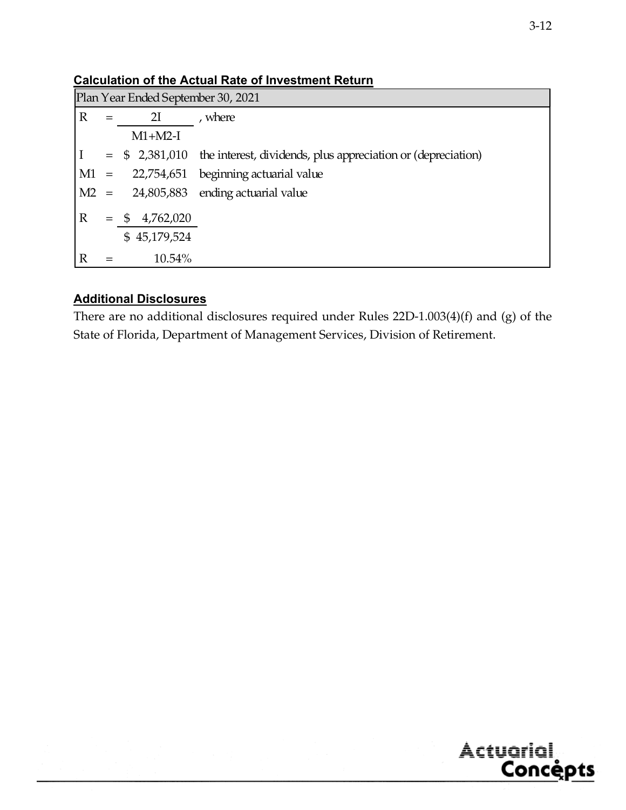|              | Plan Year Ended September 30, 2021 |                 |                                                                               |  |
|--------------|------------------------------------|-----------------|-------------------------------------------------------------------------------|--|
| $\mathbb{R}$ |                                    | 2I              | , where                                                                       |  |
|              |                                    | $M1+M2-I$       |                                                                               |  |
|              |                                    |                 | $=$ \$ 2,381,010 the interest, dividends, plus appreciation or (depreciation) |  |
|              |                                    |                 | $M1 = 22,754,651$ beginning actuarial value                                   |  |
| M2           |                                    |                 | $=$ 24,805,883 ending actuarial value                                         |  |
| $\mathbb{R}$ | $=$                                | 4,762,020<br>\$ |                                                                               |  |
|              |                                    | \$45,179,524    |                                                                               |  |
|              |                                    | 10.54%          |                                                                               |  |

**Calculation of the Actual Rate of Investment Return** 

#### **Additional Disclosures**

There are no additional disclosures required under Rules 22D-1.003(4)(f) and (g) of the State of Florida, Department of Management Services, Division of Retirement.

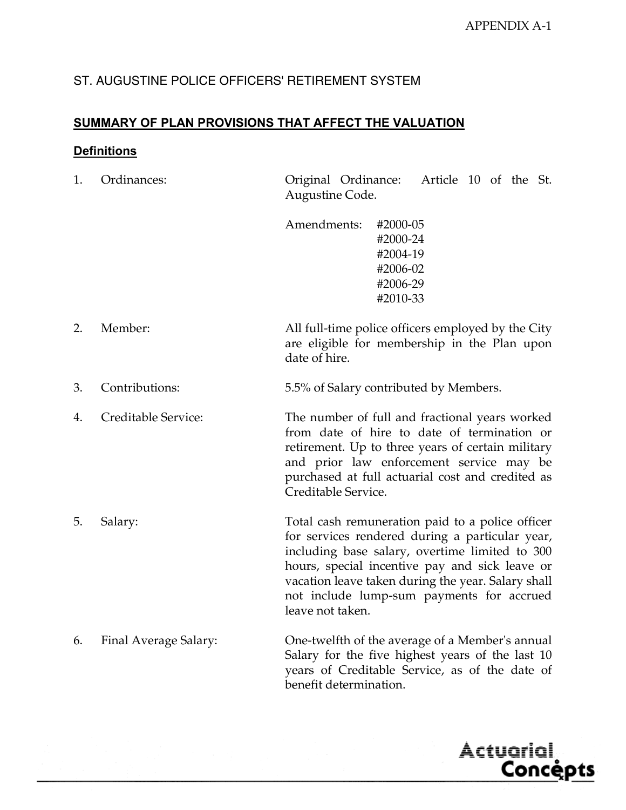# ST. AUGUSTINE POLICE OFFICERS' RETIREMENT SYSTEM

#### **SUMMARY OF PLAN PROVISIONS THAT AFFECT THE VALUATION**

#### **Definitions**

| 1. | Ordinances:           | Original Ordinance:<br>Article 10 of the St.<br>Augustine Code.                                                                                                                                                                                                                                                                |
|----|-----------------------|--------------------------------------------------------------------------------------------------------------------------------------------------------------------------------------------------------------------------------------------------------------------------------------------------------------------------------|
|    |                       | Amendments:<br>#2000-05<br>#2000-24<br>#2004-19<br>#2006-02<br>#2006-29<br>#2010-33                                                                                                                                                                                                                                            |
| 2. | Member:               | All full-time police officers employed by the City<br>are eligible for membership in the Plan upon<br>date of hire.                                                                                                                                                                                                            |
| 3. | Contributions:        | 5.5% of Salary contributed by Members.                                                                                                                                                                                                                                                                                         |
| 4. | Creditable Service:   | The number of full and fractional years worked<br>from date of hire to date of termination or<br>retirement. Up to three years of certain military<br>and prior law enforcement service may be<br>purchased at full actuarial cost and credited as<br>Creditable Service.                                                      |
| 5. | Salary:               | Total cash remuneration paid to a police officer<br>for services rendered during a particular year,<br>including base salary, overtime limited to 300<br>hours, special incentive pay and sick leave or<br>vacation leave taken during the year. Salary shall<br>not include lump-sum payments for accrued<br>leave not taken. |
| 6. | Final Average Salary: | One-twelfth of the average of a Member's annual<br>Salary for the five highest years of the last 10<br>years of Creditable Service, as of the date of<br>benefit determination.                                                                                                                                                |

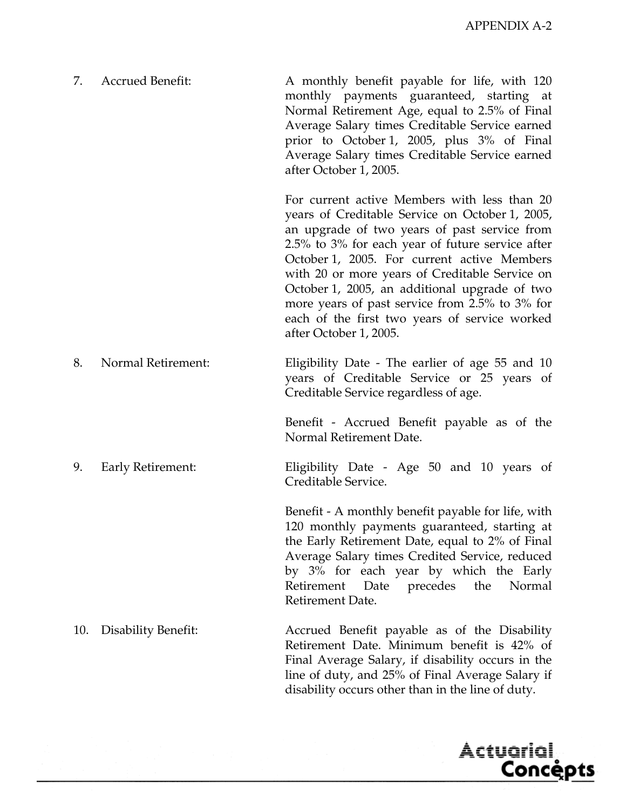Actuarial<br>Concèpts

| 7. | <b>Accrued Benefit:</b> | A monthly benefit payable for life, with 120<br>monthly payments guaranteed, starting at<br>Normal Retirement Age, equal to 2.5% of Final<br>Average Salary times Creditable Service earned<br>prior to October 1, 2005, plus 3% of Final<br>Average Salary times Creditable Service earned<br>after October 1, 2005.                                                                                                                                                              |
|----|-------------------------|------------------------------------------------------------------------------------------------------------------------------------------------------------------------------------------------------------------------------------------------------------------------------------------------------------------------------------------------------------------------------------------------------------------------------------------------------------------------------------|
|    |                         | For current active Members with less than 20<br>years of Creditable Service on October 1, 2005,<br>an upgrade of two years of past service from<br>2.5% to 3% for each year of future service after<br>October 1, 2005. For current active Members<br>with 20 or more years of Creditable Service on<br>October 1, 2005, an additional upgrade of two<br>more years of past service from 2.5% to 3% for<br>each of the first two years of service worked<br>after October 1, 2005. |
| 8. | Normal Retirement:      | Eligibility Date - The earlier of age 55 and 10<br>years of Creditable Service or 25 years of<br>Creditable Service regardless of age.                                                                                                                                                                                                                                                                                                                                             |
|    |                         | Benefit - Accrued Benefit payable as of the<br>Normal Retirement Date.                                                                                                                                                                                                                                                                                                                                                                                                             |
| 9. | Early Retirement:       | Eligibility Date - Age 50 and 10 years of<br>Creditable Service.                                                                                                                                                                                                                                                                                                                                                                                                                   |
|    |                         | Benefit - A monthly benefit payable for life, with<br>120 monthly payments guaranteed, starting at<br>the Early Retirement Date, equal to 2% of Final<br>Average Salary times Credited Service, reduced<br>by 3% for each year by which the Early<br>Date precedes the<br>Retirement<br>Normal<br>Retirement Date.                                                                                                                                                                 |

10. Disability Benefit: Accrued Benefit payable as of the Disability Retirement Date. Minimum benefit is 42% of Final Average Salary, if disability occurs in the line of duty, and 25% of Final Average Salary if disability occurs other than in the line of duty.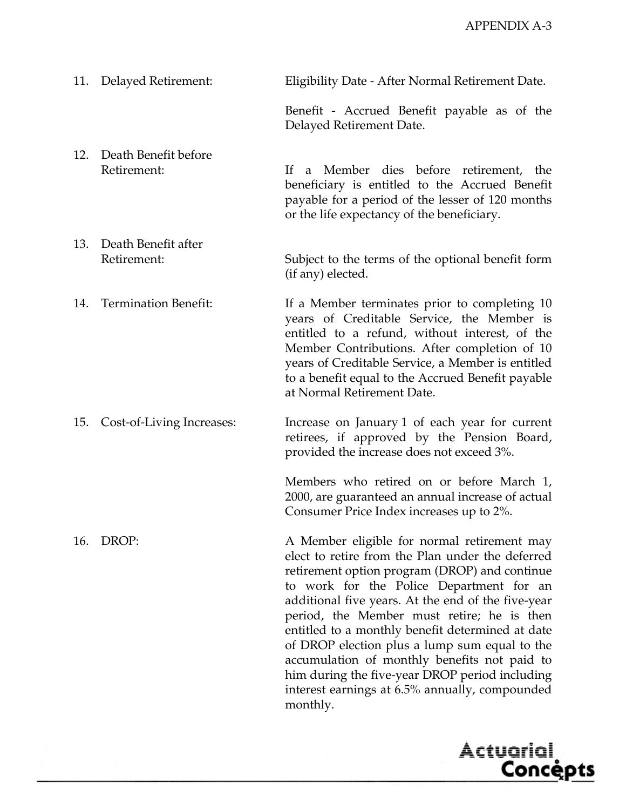|     | 11. Delayed Retirement:             | Eligibility Date - After Normal Retirement Date.                                                                                                                                                                                                                                                                                                                                                                                                                                                                                                                      |
|-----|-------------------------------------|-----------------------------------------------------------------------------------------------------------------------------------------------------------------------------------------------------------------------------------------------------------------------------------------------------------------------------------------------------------------------------------------------------------------------------------------------------------------------------------------------------------------------------------------------------------------------|
|     |                                     | Benefit - Accrued Benefit payable as of the<br>Delayed Retirement Date.                                                                                                                                                                                                                                                                                                                                                                                                                                                                                               |
| 12. | Death Benefit before<br>Retirement: | Member dies before retirement, the<br>If<br>a<br>beneficiary is entitled to the Accrued Benefit<br>payable for a period of the lesser of 120 months<br>or the life expectancy of the beneficiary.                                                                                                                                                                                                                                                                                                                                                                     |
| 13. | Death Benefit after<br>Retirement:  | Subject to the terms of the optional benefit form<br>(if any) elected.                                                                                                                                                                                                                                                                                                                                                                                                                                                                                                |
| 14. | <b>Termination Benefit:</b>         | If a Member terminates prior to completing 10<br>years of Creditable Service, the Member is<br>entitled to a refund, without interest, of the<br>Member Contributions. After completion of 10<br>years of Creditable Service, a Member is entitled<br>to a benefit equal to the Accrued Benefit payable<br>at Normal Retirement Date.                                                                                                                                                                                                                                 |
| 15. | Cost-of-Living Increases:           | Increase on January 1 of each year for current<br>retirees, if approved by the Pension Board,<br>provided the increase does not exceed 3%.                                                                                                                                                                                                                                                                                                                                                                                                                            |
|     |                                     | Members who retired on or before March 1,<br>2000, are guaranteed an annual increase of actual<br>Consumer Price Index increases up to 2%.                                                                                                                                                                                                                                                                                                                                                                                                                            |
| 16. | DROP:                               | A Member eligible for normal retirement may<br>elect to retire from the Plan under the deferred<br>retirement option program (DROP) and continue<br>to work for the Police Department for an<br>additional five years. At the end of the five-year<br>period, the Member must retire; he is then<br>entitled to a monthly benefit determined at date<br>of DROP election plus a lump sum equal to the<br>accumulation of monthly benefits not paid to<br>him during the five-year DROP period including<br>interest earnings at 6.5% annually, compounded<br>monthly. |

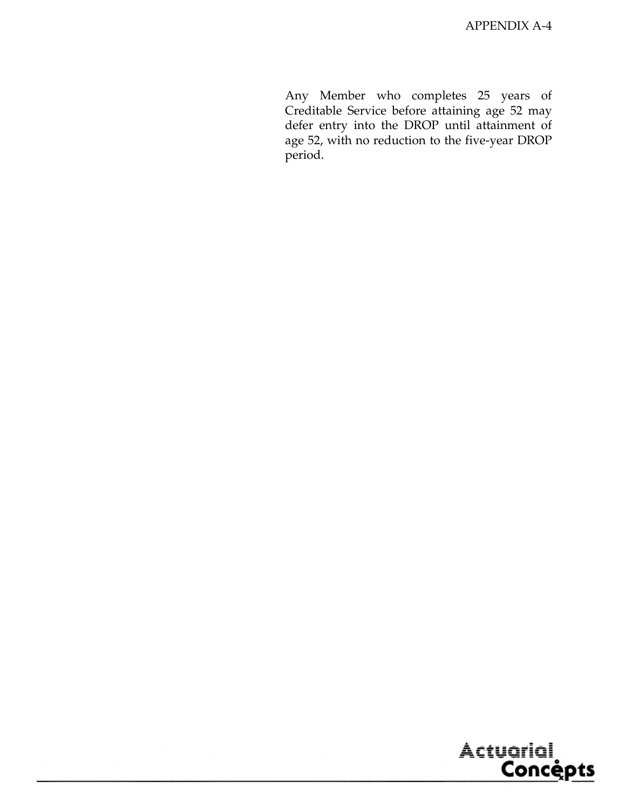Any Member who completes 25 years of Creditable Service before attaining age 52 may defer entry into the DROP until attainment of age 52, with no reduction to the five-year DROP period.

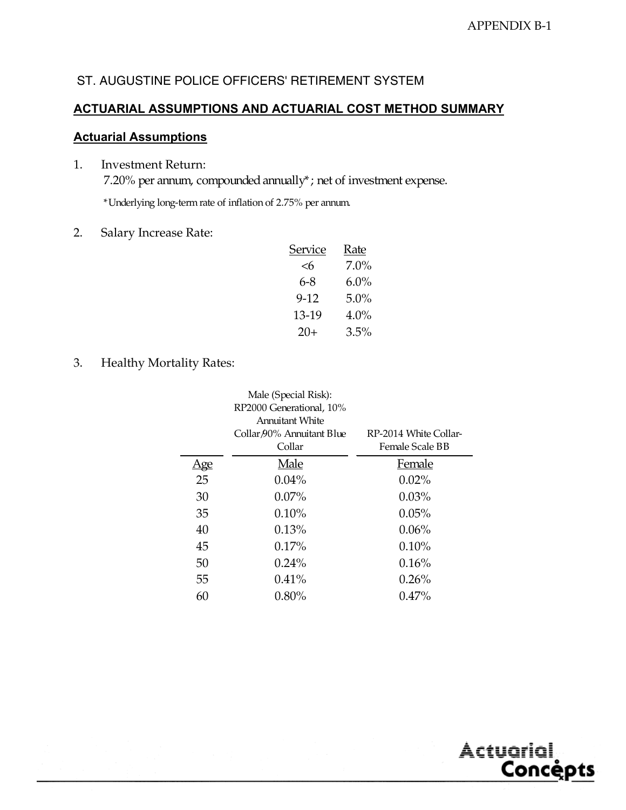# ST. AUGUSTINE POLICE OFFICERS' RETIREMENT SYSTEM

#### **ACTUARIAL ASSUMPTIONS AND ACTUARIAL COST METHOD SUMMARY**

#### **Actuarial Assumptions**

- 1. Investment Return: 7.20% per annum, compounded annually\*; net of investment expense. \*Underlying long-term rate of inflation of 2.75% per annum.
- 2. Salary Increase Rate:

| <u>Service</u> | <u>Rate</u> |
|----------------|-------------|
| <6             | 7.0%        |
| 6-8            | $6.0\%$     |
| 9-12           | $5.0\%$     |
| 13-19          | $4.0\%$     |
| 20+            | $3.5\%$     |
|                |             |

3. Healthy Mortality Rates:

|     | Male (Special Risk):<br>RP2000 Generational, 10%<br>Annuitant White |                                          |
|-----|---------------------------------------------------------------------|------------------------------------------|
|     | Collar 90% Annuitant Blue<br>Collar                                 | RP-2014 White Collar-<br>Female Scale BB |
| Age | Male                                                                | Female                                   |
| 25  | $0.04\%$                                                            | $0.02\%$                                 |
| 30  | $0.07\%$                                                            | $0.03\%$                                 |
| 35  | 0.10%                                                               | 0.05%                                    |
| 40  | 0.13%                                                               | $0.06\%$                                 |
| 45  | $0.17\%$                                                            | 0.10%                                    |
| 50  | $0.24\%$                                                            | 0.16%                                    |
| 55  | $0.41\%$                                                            | 0.26%                                    |
| 60  | $0.80\%$                                                            | $0.47\%$                                 |
|     |                                                                     |                                          |

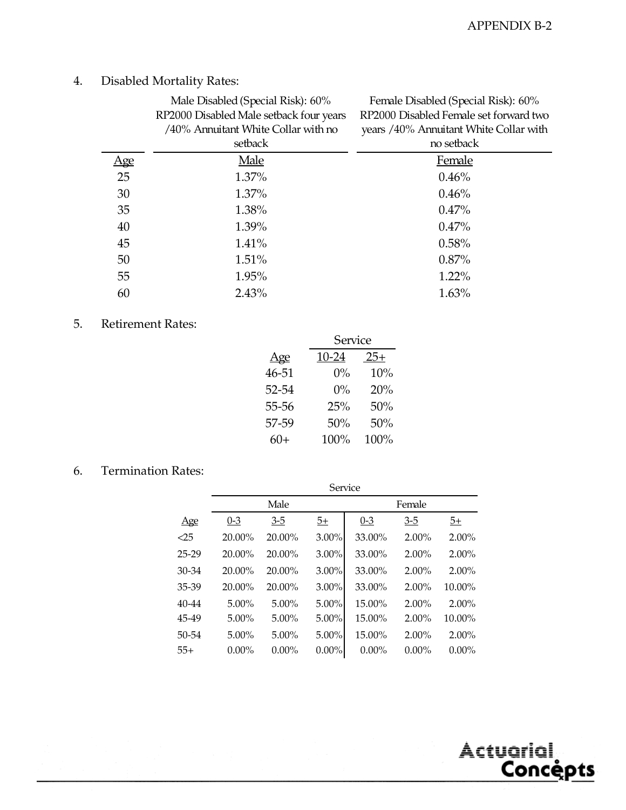Actuarial,

<u>Concepts</u>

# 4. Disabled Mortality Rates:

|     | Male Disabled (Special Risk): 60%<br>RP2000 Disabled Male setback four years<br>/40% Annuitant White Collar with no<br>setback | Female Disabled (Special Risk): 60%<br>RP2000 Disabled Female set forward two<br>years /40% Annuitant White Collar with<br>no setback |
|-----|--------------------------------------------------------------------------------------------------------------------------------|---------------------------------------------------------------------------------------------------------------------------------------|
| Age | Male                                                                                                                           | Female                                                                                                                                |
| 25  | $1.37\%$                                                                                                                       | 0.46%                                                                                                                                 |
| 30  | $1.37\%$                                                                                                                       | 0.46%                                                                                                                                 |
| 35  | 1.38%                                                                                                                          | 0.47%                                                                                                                                 |
| 40  | 1.39%                                                                                                                          | 0.47%                                                                                                                                 |
| 45  | $1.41\%$                                                                                                                       | 0.58%                                                                                                                                 |
| 50  | 1.51%                                                                                                                          | $0.87\%$                                                                                                                              |
| 55  | 1.95%                                                                                                                          | $1.22\%$                                                                                                                              |
| 60  | 2.43%                                                                                                                          | 1.63%                                                                                                                                 |

## 5. Retirement Rates:

|       | Service |       |  |  |  |  |  |  |  |  |
|-------|---------|-------|--|--|--|--|--|--|--|--|
| Age   | 10-24   | $25+$ |  |  |  |  |  |  |  |  |
| 46-51 | $0\%$   | 10%   |  |  |  |  |  |  |  |  |
| 52-54 | $0\%$   | 20%   |  |  |  |  |  |  |  |  |
| 55-56 | 25%     | 50%   |  |  |  |  |  |  |  |  |
| 57-59 | 50%     | 50%   |  |  |  |  |  |  |  |  |
| 60+   | 100%    | 100%  |  |  |  |  |  |  |  |  |

#### 6. Termination Rates:

|           | Service  |          |                |          |          |                 |  |  |  |  |  |  |
|-----------|----------|----------|----------------|----------|----------|-----------------|--|--|--|--|--|--|
|           |          | Male     |                |          | Female   |                 |  |  |  |  |  |  |
| Age       | $0 - 3$  | $3 - 5$  | $\frac{5+}{2}$ | $0 - 3$  | $3 - 5$  | $\overline{5+}$ |  |  |  |  |  |  |
| $<$ 25    | 20.00%   | 20.00%   | $3.00\%$       | 33.00%   | $2.00\%$ | $2.00\%$        |  |  |  |  |  |  |
| $25 - 29$ | 20.00%   | 20.00%   | $3.00\%$       | 33.00%   | $2.00\%$ | $2.00\%$        |  |  |  |  |  |  |
| 30-34     | 20.00%   | 20.00%   | $3.00\%$       | 33.00%   | $2.00\%$ | $2.00\%$        |  |  |  |  |  |  |
| 35-39     | 20.00%   | 20.00%   | $3.00\%$       | 33.00%   | $2.00\%$ | 10.00%          |  |  |  |  |  |  |
| $40 - 44$ | $5.00\%$ | $5.00\%$ | $5.00\%$       | 15.00%   | $2.00\%$ | $2.00\%$        |  |  |  |  |  |  |
| 45-49     | $5.00\%$ | $5.00\%$ | $5.00\%$       | 15.00%   | 2.00%    | 10.00%          |  |  |  |  |  |  |
| 50-54     | $5.00\%$ | $5.00\%$ | $5.00\%$       | 15.00%   | $2.00\%$ | $2.00\%$        |  |  |  |  |  |  |
| $55+$     | $0.00\%$ | $0.00\%$ | $0.00\%$       | $0.00\%$ | $0.00\%$ | $0.00\%$        |  |  |  |  |  |  |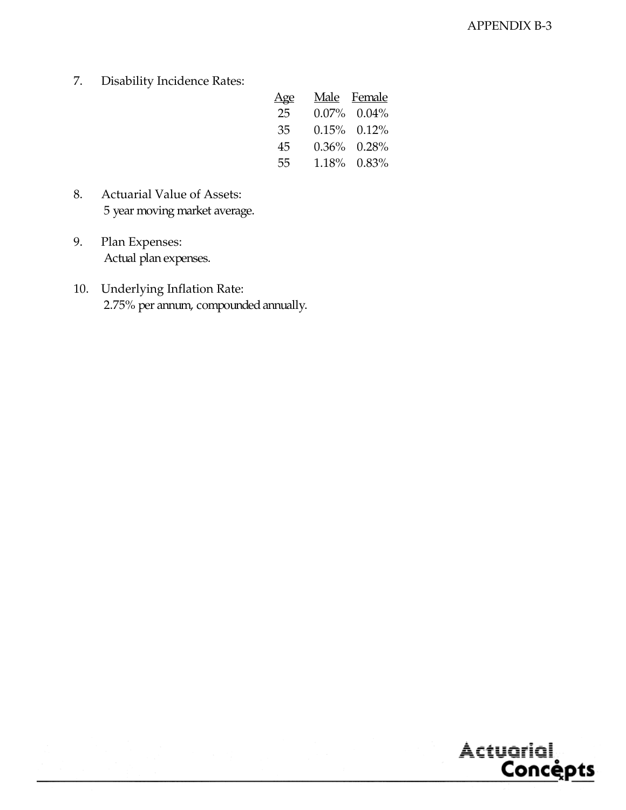7. Disability Incidence Rates:

| <u>Age</u> | Male Female       |
|------------|-------------------|
| 25         | $0.07\%$ 0.04%    |
| 35         | $0.15\%$ $0.12\%$ |
| 45         | $0.36\%$ $0.28\%$ |
| 55         | 1.18% 0.83%       |

- 8. Actuarial Value of Assets: 5 year moving market average.
- 9. Plan Expenses: Actual plan expenses.
- 10. Underlying Inflation Rate: 2.75% per annum, compounded annually.

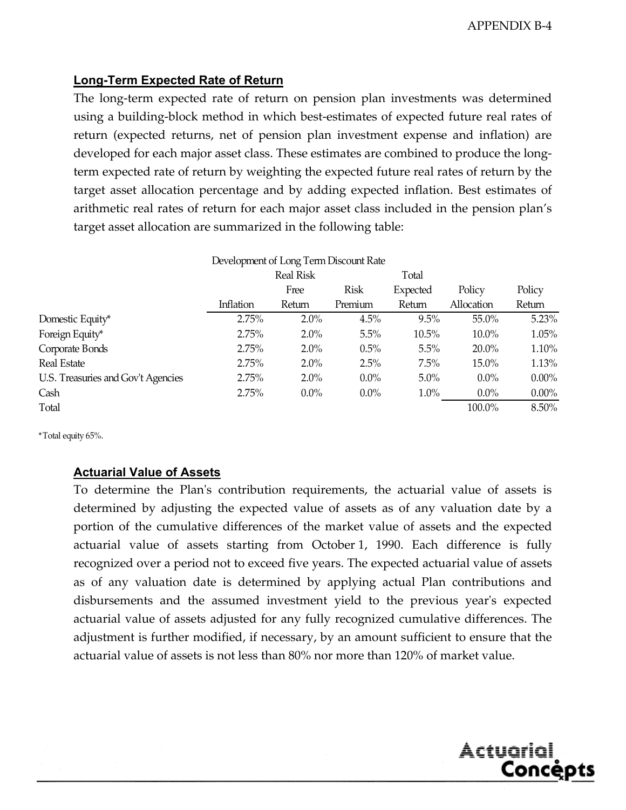Actuarial,

<u>Concepts</u>

#### **Long-Term Expected Rate of Return**

The long-term expected rate of return on pension plan investments was determined using a building-block method in which best-estimates of expected future real rates of return (expected returns, net of pension plan investment expense and inflation) are developed for each major asset class. These estimates are combined to produce the longterm expected rate of return by weighting the expected future real rates of return by the target asset allocation percentage and by adding expected inflation. Best estimates of arithmetic real rates of return for each major asset class included in the pension plan's target asset allocation are summarized in the following table:

|                                    | Development of Long Term Discount Rate |                  |             |          |            |          |  |  |  |  |
|------------------------------------|----------------------------------------|------------------|-------------|----------|------------|----------|--|--|--|--|
|                                    |                                        | <b>Real Risk</b> |             | Total    |            |          |  |  |  |  |
|                                    |                                        | Free             | <b>Risk</b> | Expected | Policy     | Policy   |  |  |  |  |
|                                    | Inflation                              | Return           | Premium     | Return   | Allocation | Return   |  |  |  |  |
| Domestic Equity*                   | 2.75%                                  | 2.0%             | 4.5%        | $9.5\%$  | 55.0%      | 5.23%    |  |  |  |  |
| Foreign Equity*                    | 2.75%                                  | $2.0\%$          | 5.5%        | 10.5%    | 10.0%      | 1.05%    |  |  |  |  |
| Corporate Bonds                    | 2.75%                                  | 2.0%             | $0.5\%$     | 5.5%     | $20.0\%$   | 1.10%    |  |  |  |  |
| Real Estate                        | 2.75%                                  | $2.0\%$          | 2.5%        | $7.5\%$  | 15.0%      | 1.13%    |  |  |  |  |
| U.S. Treasuries and Gov't Agencies | 2.75%                                  | $2.0\%$          | $0.0\%$     | $5.0\%$  | $0.0\%$    | $0.00\%$ |  |  |  |  |
| Cash                               | 2.75%                                  | $0.0\%$          | $0.0\%$     | 1.0%     | $0.0\%$    | $0.00\%$ |  |  |  |  |
| Total                              |                                        |                  |             |          | 100.0%     | 8.50%    |  |  |  |  |

\*Total equity 65%.

#### **Actuarial Value of Assets**

To determine the Plan's contribution requirements, the actuarial value of assets is determined by adjusting the expected value of assets as of any valuation date by a portion of the cumulative differences of the market value of assets and the expected actuarial value of assets starting from October 1, 1990. Each difference is fully recognized over a period not to exceed five years. The expected actuarial value of assets as of any valuation date is determined by applying actual Plan contributions and disbursements and the assumed investment yield to the previous year's expected actuarial value of assets adjusted for any fully recognized cumulative differences. The adjustment is further modified, if necessary, by an amount sufficient to ensure that the actuarial value of assets is not less than 80% nor more than 120% of market value.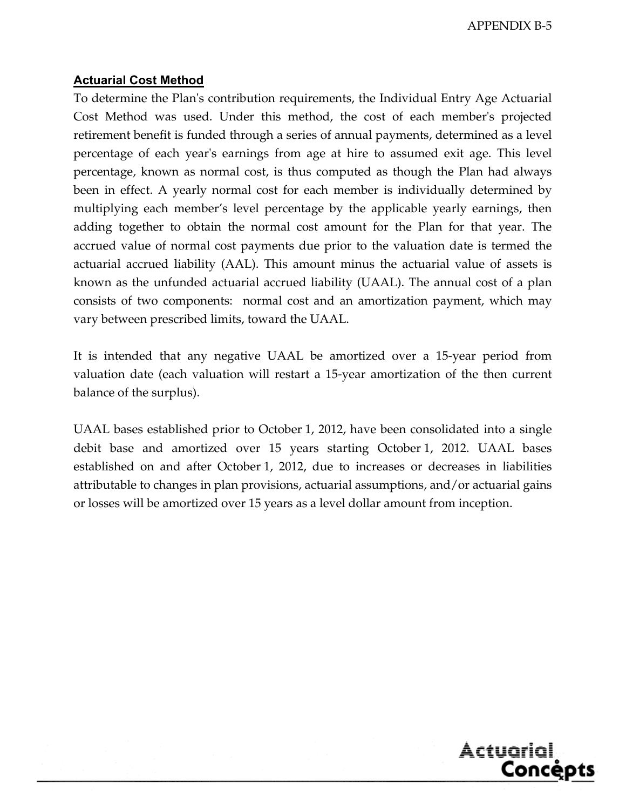APPENDIX B-5

#### **Actuarial Cost Method**

To determine the Plan's contribution requirements, the Individual Entry Age Actuarial Cost Method was used. Under this method, the cost of each member's projected retirement benefit is funded through a series of annual payments, determined as a level percentage of each year's earnings from age at hire to assumed exit age. This level percentage, known as normal cost, is thus computed as though the Plan had always been in effect. A yearly normal cost for each member is individually determined by multiplying each member's level percentage by the applicable yearly earnings, then adding together to obtain the normal cost amount for the Plan for that year. The accrued value of normal cost payments due prior to the valuation date is termed the actuarial accrued liability (AAL). This amount minus the actuarial value of assets is known as the unfunded actuarial accrued liability (UAAL). The annual cost of a plan consists of two components: normal cost and an amortization payment, which may vary between prescribed limits, toward the UAAL.

It is intended that any negative UAAL be amortized over a 15-year period from valuation date (each valuation will restart a 15-year amortization of the then current balance of the surplus).

UAAL bases established prior to October 1, 2012, have been consolidated into a single debit base and amortized over 15 years starting October 1, 2012. UAAL bases established on and after October 1, 2012, due to increases or decreases in liabilities attributable to changes in plan provisions, actuarial assumptions, and/or actuarial gains or losses will be amortized over 15 years as a level dollar amount from inception.

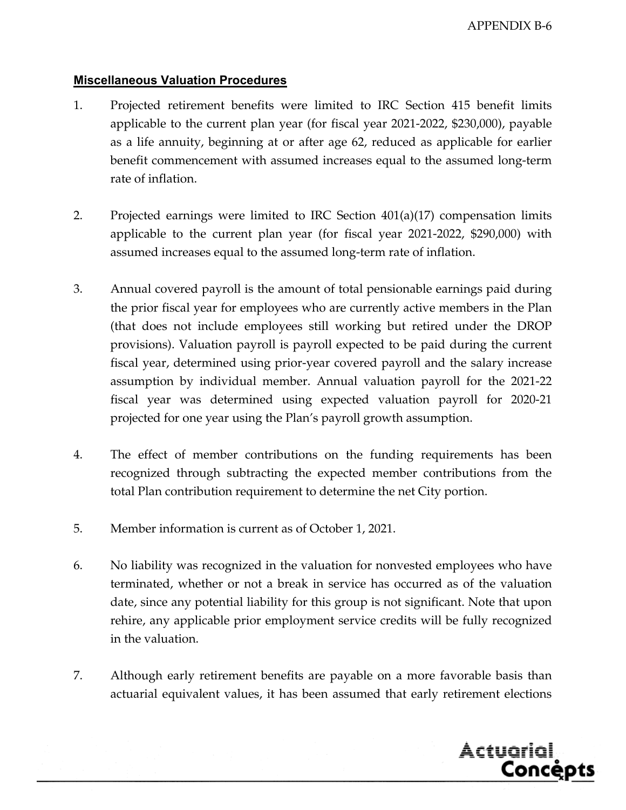#### **Miscellaneous Valuation Procedures**

- 1. Projected retirement benefits were limited to IRC Section 415 benefit limits applicable to the current plan year (for fiscal year 2021-2022, \$230,000), payable as a life annuity, beginning at or after age 62, reduced as applicable for earlier benefit commencement with assumed increases equal to the assumed long-term rate of inflation.
- 2. Projected earnings were limited to IRC Section 401(a)(17) compensation limits applicable to the current plan year (for fiscal year 2021-2022, \$290,000) with assumed increases equal to the assumed long-term rate of inflation.
- 3. Annual covered payroll is the amount of total pensionable earnings paid during the prior fiscal year for employees who are currently active members in the Plan (that does not include employees still working but retired under the DROP provisions). Valuation payroll is payroll expected to be paid during the current fiscal year, determined using prior-year covered payroll and the salary increase assumption by individual member. Annual valuation payroll for the 2021-22 fiscal year was determined using expected valuation payroll for 2020-21 projected for one year using the Plan's payroll growth assumption.
- 4. The effect of member contributions on the funding requirements has been recognized through subtracting the expected member contributions from the total Plan contribution requirement to determine the net City portion.
- 5. Member information is current as of October 1, 2021.
- 6. No liability was recognized in the valuation for nonvested employees who have terminated, whether or not a break in service has occurred as of the valuation date, since any potential liability for this group is not significant. Note that upon rehire, any applicable prior employment service credits will be fully recognized in the valuation.
- 7. Although early retirement benefits are payable on a more favorable basis than actuarial equivalent values, it has been assumed that early retirement elections

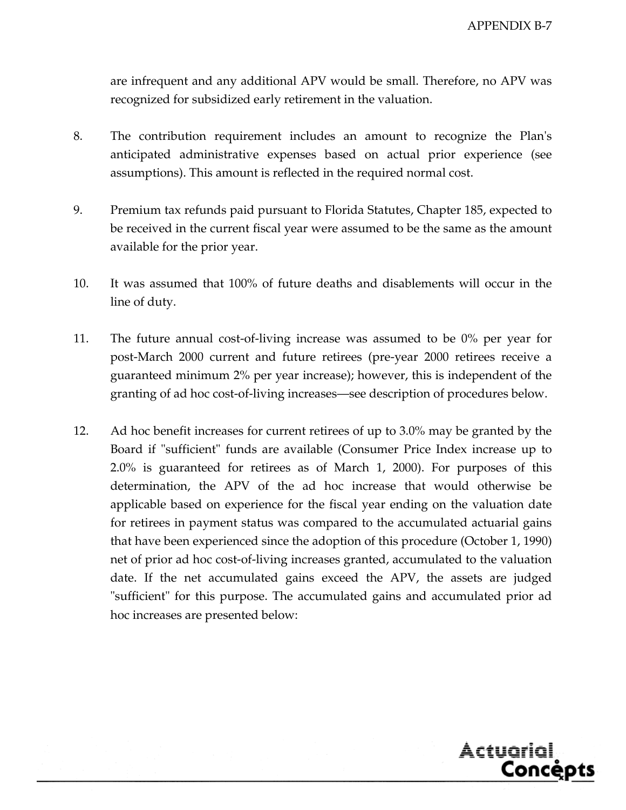are infrequent and any additional APV would be small. Therefore, no APV was recognized for subsidized early retirement in the valuation.

- 8. The contribution requirement includes an amount to recognize the Plan's anticipated administrative expenses based on actual prior experience (see assumptions). This amount is reflected in the required normal cost.
- 9. Premium tax refunds paid pursuant to Florida Statutes, Chapter 185, expected to be received in the current fiscal year were assumed to be the same as the amount available for the prior year.
- 10. It was assumed that 100% of future deaths and disablements will occur in the line of duty.
- 11. The future annual cost-of-living increase was assumed to be 0% per year for post-March 2000 current and future retirees (pre-year 2000 retirees receive a guaranteed minimum 2% per year increase); however, this is independent of the granting of ad hoc cost-of-living increases—see description of procedures below.
- 12. Ad hoc benefit increases for current retirees of up to 3.0% may be granted by the Board if "sufficient" funds are available (Consumer Price Index increase up to 2.0% is guaranteed for retirees as of March 1, 2000). For purposes of this determination, the APV of the ad hoc increase that would otherwise be applicable based on experience for the fiscal year ending on the valuation date for retirees in payment status was compared to the accumulated actuarial gains that have been experienced since the adoption of this procedure (October 1, 1990) net of prior ad hoc cost-of-living increases granted, accumulated to the valuation date. If the net accumulated gains exceed the APV, the assets are judged "sufficient" for this purpose. The accumulated gains and accumulated prior ad hoc increases are presented below:

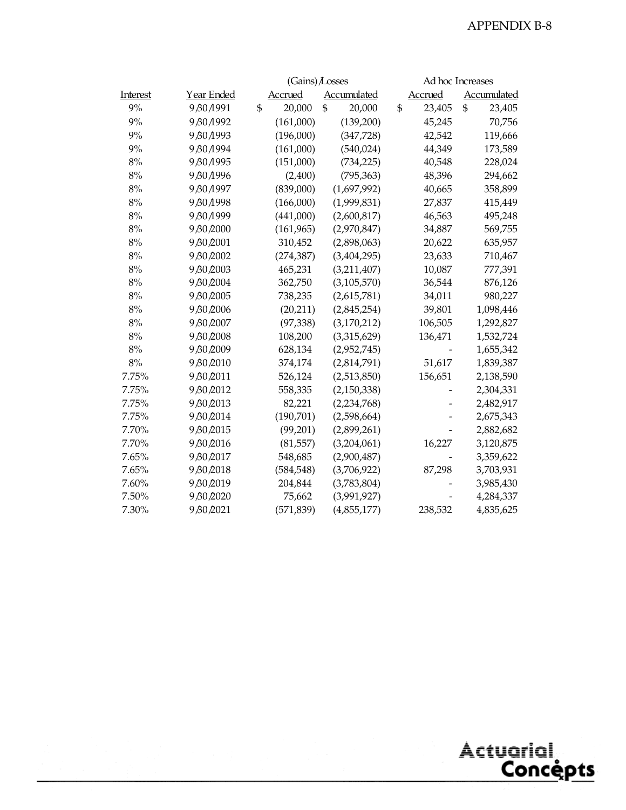|          |                   | $(Gains)$ Losses |                    |    |                |    | Ad hoc Increases   |  |  |  |
|----------|-------------------|------------------|--------------------|----|----------------|----|--------------------|--|--|--|
| Interest | <u>Year Ended</u> | <b>Accrued</b>   | <b>Accumulated</b> |    | <b>Accrued</b> |    | <b>Accumulated</b> |  |  |  |
| 9%       | 9 80 1991         | \$<br>20,000     | \$<br>20,000       | \$ | 23,405         | \$ | 23,405             |  |  |  |
| 9%       | 9 80 1992         | (161,000)        | (139,200)          |    | 45,245         |    | 70,756             |  |  |  |
| 9%       | 9 80 1993         | (196,000)        | (347, 728)         |    | 42,542         |    | 119,666            |  |  |  |
| 9%       | 9/30/1994         | (161,000)        | (540, 024)         |    | 44,349         |    | 173,589            |  |  |  |
| $8\%$    | 9 80 1995         | (151,000)        | (734, 225)         |    | 40,548         |    | 228,024            |  |  |  |
| 8%       | 9 80 1996         | (2,400)          | (795, 363)         |    | 48,396         |    | 294,662            |  |  |  |
| 8%       | 9 80 1997         | (839,000)        | (1,697,992)        |    | 40,665         |    | 358,899            |  |  |  |
| 8%       | 9 80 1998         | (166,000)        | (1,999,831)        |    | 27,837         |    | 415,449            |  |  |  |
| 8%       | 9 80 1999         | (441,000)        | (2,600,817)        |    | 46,563         |    | 495,248            |  |  |  |
| 8%       | 9 80 2000         | (161, 965)       | (2,970,847)        |    | 34,887         |    | 569,755            |  |  |  |
| 8%       | 9 80 2001         | 310,452          | (2,898,063)        |    | 20,622         |    | 635,957            |  |  |  |
| 8%       | 9 80 2002         | (274, 387)       | (3,404,295)        |    | 23,633         |    | 710,467            |  |  |  |
| 8%       | 9 80 2003         | 465,231          | (3,211,407)        |    | 10,087         |    | 777,391            |  |  |  |
| 8%       | 9 80 2004         | 362,750          | (3, 105, 570)      |    | 36,544         |    | 876,126            |  |  |  |
| 8%       | 9 80 2005         | 738,235          | (2,615,781)        |    | 34,011         |    | 980,227            |  |  |  |
| $8\%$    | 9 80 2006         | (20,211)         | (2,845,254)        |    | 39,801         |    | 1,098,446          |  |  |  |
| 8%       | 9 80 2007         | (97, 338)        | (3,170,212)        |    | 106,505        |    | 1,292,827          |  |  |  |
| 8%       | 9 80 2008         | 108,200          | (3,315,629)        |    | 136,471        |    | 1,532,724          |  |  |  |
| 8%       | 9 80 2009         | 628,134          | (2,952,745)        |    |                |    | 1,655,342          |  |  |  |
| 8%       | 9 80 2010         | 374,174          | (2,814,791)        |    | 51,617         |    | 1,839,387          |  |  |  |
| 7.75%    | 9 80 2011         | 526,124          | (2,513,850)        |    | 156,651        |    | 2,138,590          |  |  |  |
| 7.75%    | 9 80 2012         | 558,335          | (2,150,338)        |    |                |    | 2,304,331          |  |  |  |
| 7.75%    | 9 80 2013         | 82,221           | (2, 234, 768)      |    |                |    | 2,482,917          |  |  |  |
| 7.75%    | 9 80 2014         | (190, 701)       | (2,598,664)        |    |                |    | 2,675,343          |  |  |  |
| 7.70%    | 9 80 2015         | (99,201)         | (2,899,261)        |    |                |    | 2,882,682          |  |  |  |
| 7.70%    | 9 80 2016         | (81, 557)        | (3,204,061)        |    | 16,227         |    | 3,120,875          |  |  |  |
| 7.65%    | 9 80 2017         | 548,685          | (2,900,487)        |    |                |    | 3,359,622          |  |  |  |
| 7.65%    | 9 80 2018         | (584, 548)       | (3,706,922)        |    | 87,298         |    | 3,703,931          |  |  |  |
| 7.60%    | 9 80 2019         | 204,844          | (3,783,804)        |    |                |    | 3,985,430          |  |  |  |
| $7.50\%$ | 9 80 2020         | 75,662           | (3,991,927)        |    |                |    | 4,284,337          |  |  |  |
| 7.30%    | 9 80 2021         | (571, 839)       | (4,855,177)        |    | 238,532        |    | 4,835,625          |  |  |  |

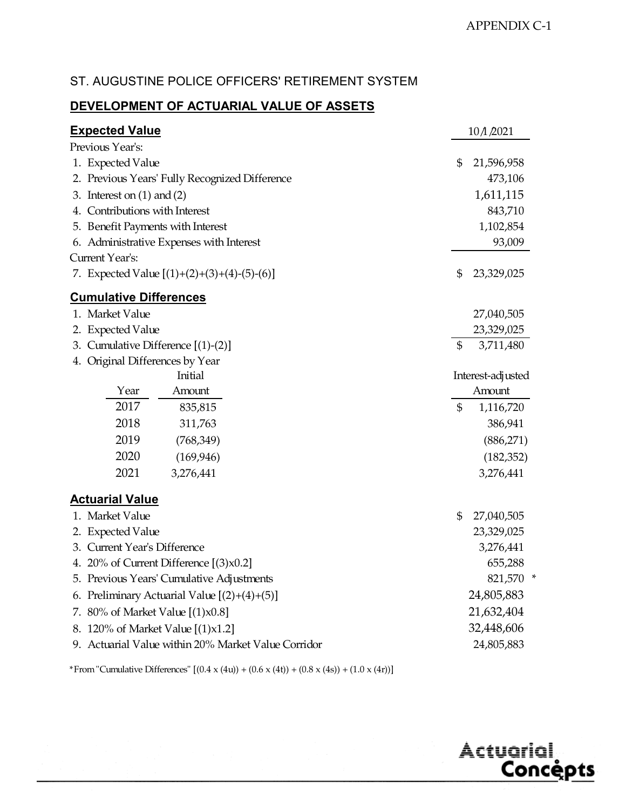# ST. AUGUSTINE POLICE OFFICERS' RETIREMENT SYSTEM

#### **DEVELOPMENT OF ACTUARIAL VALUE OF ASSETS**

| <b>Expected Value</b>                               | 10/1/2021         |
|-----------------------------------------------------|-------------------|
| Previous Year's:                                    |                   |
| 1. Expected Value                                   | \$<br>21,596,958  |
| 2. Previous Years' Fully Recognized Difference      | 473,106           |
| 3. Interest on $(1)$ and $(2)$                      | 1,611,115         |
| Contributions with Interest<br>4.                   | 843,710           |
| 5. Benefit Payments with Interest                   | 1,102,854         |
| 6. Administrative Expenses with Interest            | 93,009            |
| Current Year's:                                     |                   |
| 7. Expected Value $[(1)+(2)+(3)+(4)-(5)-(6)]$       | \$<br>23,329,025  |
| <b>Cumulative Differences</b>                       |                   |
| 1. Market Value                                     | 27,040,505        |
| 2. Expected Value                                   | 23,329,025        |
| 3. Cumulative Difference [(1)-(2)]                  | \$<br>3,711,480   |
| 4. Original Differences by Year                     |                   |
| Initial                                             | Interest-adjusted |
| Year<br>Amount                                      | Amount            |
| 2017<br>835,815                                     | \$<br>1,116,720   |
| 2018<br>311,763                                     | 386,941           |
| 2019<br>(768, 349)                                  | (886, 271)        |
| 2020<br>(169, 946)                                  | (182, 352)        |
| 2021<br>3,276,441                                   | 3,276,441         |
| <b>Actuarial Value</b>                              |                   |
| 1. Market Value                                     | \$<br>27,040,505  |
| <b>Expected Value</b><br>2.                         | 23,329,025        |
| 3. Current Year's Difference                        | 3,276,441         |
| 4. 20% of Current Difference $[(3) \times 0.2]$     | 655,288           |
| 5. Previous Years' Cumulative Adjustments           | 821,570 *         |
| 6. Preliminary Actuarial Value $[(2)+(4)+(5)]$      | 24,805,883        |
| 80% of Market Value [(1)x0.8]<br>7.                 | 21,632,404        |
| 120% of Market Value $[(1)x1.2]$<br>୪.              | 32,448,606        |
| 9. Actuarial Value within 20% Market Value Corridor | 24,805,883        |
|                                                     |                   |

\*From "Cumulative Differences"  $[(0.4 \times (4u)) + (0.6 \times (4t)) + (0.8 \times (4s)) + (1.0 \times (4r))]$ 

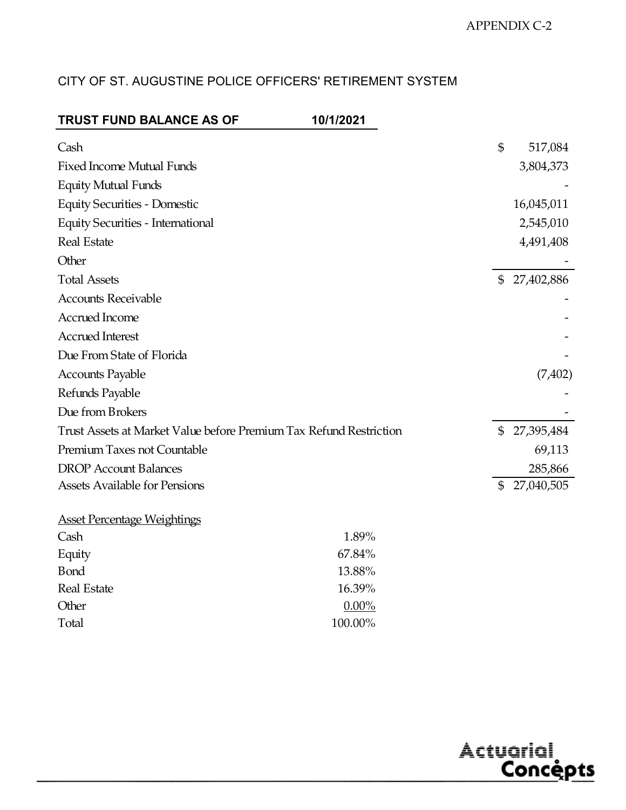# CITY OF ST. AUGUSTINE POLICE OFFICERS' RETIREMENT SYSTEM

| <b>TRUST FUND BALANCE AS OF</b>                                    | 10/1/2021 |               |            |
|--------------------------------------------------------------------|-----------|---------------|------------|
| Cash                                                               |           | \$            | 517,084    |
| <b>Fixed Income Mutual Funds</b>                                   |           |               | 3,804,373  |
| <b>Equity Mutual Funds</b>                                         |           |               |            |
| <b>Equity Securities - Domestic</b>                                |           |               | 16,045,011 |
| <b>Equity Securities - International</b>                           |           |               | 2,545,010  |
| <b>Real Estate</b>                                                 |           |               | 4,491,408  |
| Other                                                              |           |               |            |
| <b>Total Assets</b>                                                |           | \$            | 27,402,886 |
| <b>Accounts Receivable</b>                                         |           |               |            |
| Accrued Income                                                     |           |               |            |
| <b>Accrued Interest</b>                                            |           |               |            |
| Due From State of Florida                                          |           |               |            |
| <b>Accounts Payable</b>                                            |           |               | (7, 402)   |
| Refunds Payable                                                    |           |               |            |
| Due from Brokers                                                   |           |               |            |
| Trust Assets at Market Value before Premium Tax Refund Restriction |           | \$            | 27,395,484 |
| Premium Taxes not Countable                                        |           |               | 69,113     |
| <b>DROP</b> Account Balances                                       |           |               | 285,866    |
| <b>Assets Available for Pensions</b>                               |           | $\mathfrak s$ | 27,040,505 |
| <b>Asset Percentage Weightings</b>                                 |           |               |            |
| Cash                                                               | 1.89%     |               |            |
| Equity                                                             | 67.84%    |               |            |
| <b>B</b> ond                                                       | 13.88%    |               |            |
| <b>Real Estate</b>                                                 | 16.39%    |               |            |
| Other                                                              | $0.00\%$  |               |            |
| Total                                                              | 100.00%   |               |            |

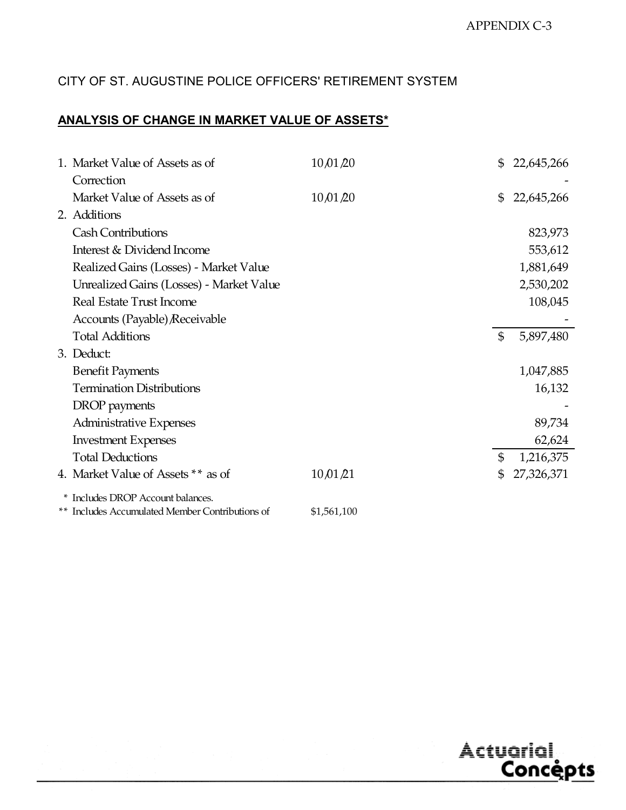# CITY OF ST. AUGUSTINE POLICE OFFICERS' RETIREMENT SYSTEM

# **ANALYSIS OF CHANGE IN MARKET VALUE OF ASSETS\***

| 1. Market Value of Assets as of                 | 10,01,20    | $\mathbb{S}$   | 22,645,266 |
|-------------------------------------------------|-------------|----------------|------------|
| Correction                                      |             |                |            |
| Market Value of Assets as of                    | 10,01,20    | \$             | 22,645,266 |
| 2. Additions                                    |             |                |            |
| <b>Cash Contributions</b>                       |             |                | 823,973    |
| Interest & Dividend Income                      |             |                | 553,612    |
| Realized Gains (Losses) - Market Value          |             |                | 1,881,649  |
| Unrealized Gains (Losses) - Market Value        |             |                | 2,530,202  |
| Real Estate Trust Income                        |             |                | 108,045    |
| Accounts (Payable) Receivable                   |             |                |            |
| <b>Total Additions</b>                          |             | $\mathfrak{S}$ | 5,897,480  |
| 3. Deduct:                                      |             |                |            |
| <b>Benefit Payments</b>                         |             |                | 1,047,885  |
| <b>Termination Distributions</b>                |             |                | 16,132     |
| DROP payments                                   |             |                |            |
| <b>Administrative Expenses</b>                  |             |                | 89,734     |
| <b>Investment Expenses</b>                      |             |                | 62,624     |
| <b>Total Deductions</b>                         |             | \$             | 1,216,375  |
| 4. Market Value of Assets ** as of              | 10,01/21    | \$             | 27,326,371 |
| * Includes DROP Account balances.               |             |                |            |
| ** Includes Accumulated Member Contributions of | \$1,561,100 |                |            |

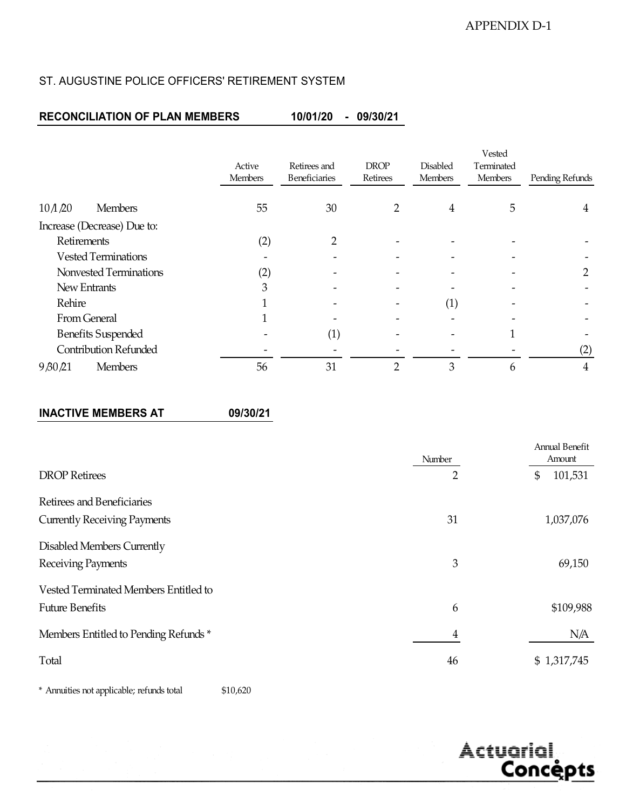#### ST. AUGUSTINE POLICE OFFICERS' RETIREMENT SYSTEM

#### **RECONCILIATION OF PLAN MEMBERS 10/01/20 - 09/30/21**

|                                     |                          |                                                                            |   |                 | Vested                       |                 |
|-------------------------------------|--------------------------|----------------------------------------------------------------------------|---|-----------------|------------------------------|-----------------|
|                                     | Active<br><b>Members</b> | <b>DROP</b><br>Retirees and<br>Beneficiaries<br>Retirees<br><b>Members</b> |   | <b>Disabled</b> | Terminated<br><b>Members</b> | Pending Refunds |
|                                     |                          |                                                                            |   |                 |                              |                 |
| $10 \triangle 20$<br><b>Members</b> | 55                       | 30                                                                         |   | 4               | 5                            | 4               |
| Increase (Decrease) Due to:         |                          |                                                                            |   |                 |                              |                 |
| Retirements                         | (2)                      | റ                                                                          |   |                 |                              |                 |
| <b>Vested Terminations</b>          |                          |                                                                            |   |                 |                              |                 |
| Nonvested Terminations              | (2)                      |                                                                            |   |                 |                              |                 |
| New Entrants                        | 3                        |                                                                            |   |                 |                              |                 |
| Rehire                              |                          |                                                                            |   | (1)             |                              |                 |
| From General                        |                          |                                                                            |   |                 |                              |                 |
| <b>Benefits Suspended</b>           |                          | $\left( 1\right)$                                                          |   |                 |                              |                 |
| <b>Contribution Refunded</b>        |                          |                                                                            |   |                 |                              | (2)             |
| 9,80,21<br><b>Members</b>           | 56                       | 31                                                                         | ∩ | 3               | 6                            | 4               |

#### **INACTIVE MEMBERS AT 09/30/21**

|                                       | Number         | <b>Annual Benefit</b><br>Amount |
|---------------------------------------|----------------|---------------------------------|
| <b>DROP</b> Retirees                  | 2              | 101,531<br>\$                   |
| Retirees and Beneficiaries            |                |                                 |
| <b>Currently Receiving Payments</b>   | 31             | 1,037,076                       |
| Disabled Members Currently            |                |                                 |
| Receiving Payments                    | 3              | 69,150                          |
| Vested Terminated Members Entitled to |                |                                 |
| <b>Future Benefits</b>                | 6              | \$109,988                       |
| Members Entitled to Pending Refunds*  | $\overline{4}$ | N/A                             |
| Total                                 | 46             | \$1,317,745                     |

\$10,620 \* Annuities not applicable; refunds total

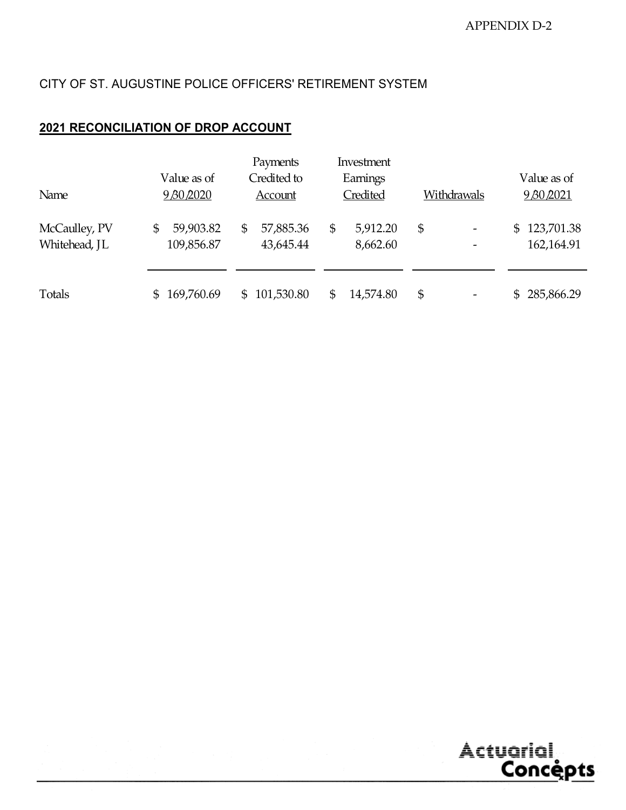# CITY OF ST. AUGUSTINE POLICE OFFICERS' RETIREMENT SYSTEM

## **2021 RECONCILIATION OF DROP ACCOUNT**

| Name                           | Value as of<br>9 80 2020      | Payments<br>Credited to<br>Account | Investment<br>Earnings<br>Credited | Withdrawals                    | Value as of<br>9 80 2021   |
|--------------------------------|-------------------------------|------------------------------------|------------------------------------|--------------------------------|----------------------------|
| McCaulley, PV<br>Whitehead, JL | 59,903.82<br>\$<br>109,856.87 | 57,885.36<br>\$<br>43,645.44       | 5,912.20<br>\$<br>8,662.60         | \$<br>$\overline{\phantom{a}}$ | \$123,701.38<br>162,164.91 |
| Totals                         | 169,760.69                    | 101,530.80<br>$\mathbb{S}$         | 14,574.80<br>\$                    | \$                             | 285,866.29<br>\$.          |